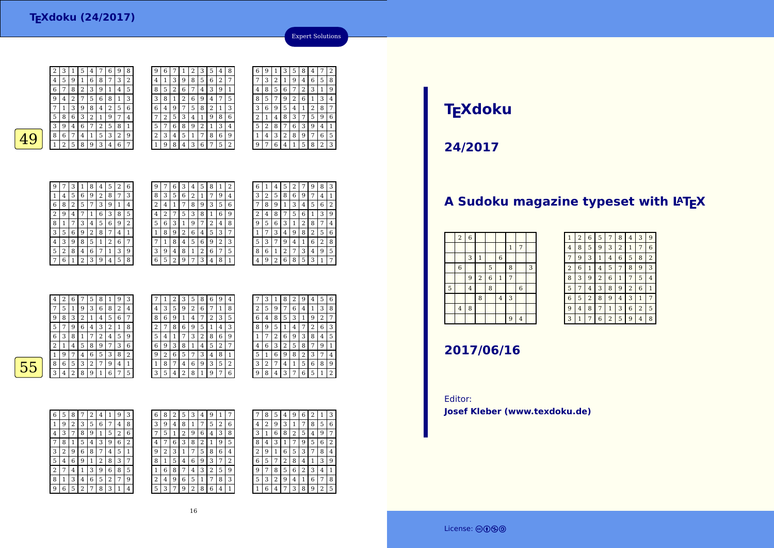|    | 6            | 7            | 8 | 2 | 3 | 9              | 1 | 4              | 5         |  |  |
|----|--------------|--------------|---|---|---|----------------|---|----------------|-----------|--|--|
|    | 9            | 4            | 2 | 7 | 5 | 6              | 8 | 1              | 3         |  |  |
|    | 7            | $\mathbf{1}$ | 3 | 9 | 8 | 4              | 2 | 5              | 6         |  |  |
|    | 5            | 8            | 6 | 3 | 2 | 1              | 9 | 7              | 4         |  |  |
|    | 3            | 9            | 4 | 6 | 7 | $\overline{2}$ | 5 | 8              | 1         |  |  |
| 49 | 8            | 6            | 7 | 4 | 1 | 5              | 3 | 2              | 9         |  |  |
|    | 1            | 2            | 5 | 8 | 9 | 3              | 4 | 6              | 7         |  |  |
|    |              |              |   |   |   |                |   |                |           |  |  |
|    | 9            | 7            | 3 | 1 | 8 | 4              | 5 | $\overline{2}$ | 6         |  |  |
|    | $\mathbf{1}$ | 4            | 5 | 6 | 9 | $\overline{2}$ | 8 | 7              | 3         |  |  |
|    | 6            | $\mathbf{Q}$ | っ | 5 | 7 | ς              | a | 1              | $\Lambda$ |  |  |

2 <sup>3</sup> <sup>1</sup> <sup>5</sup> <sup>4</sup> <sup>7</sup> <sup>6</sup> <sup>9</sup> <sup>8</sup> 4 <sup>5</sup> <sup>9</sup> <sup>1</sup> <sup>6</sup> <sup>8</sup> <sup>7</sup> <sup>3</sup> <sup>2</sup>

| 9              | 6 |   |   | 2 | 3              | 5 | 4 | 8 | 6 | 9 |   | 3 | 5 | 8 | 4 |   | 2 |
|----------------|---|---|---|---|----------------|---|---|---|---|---|---|---|---|---|---|---|---|
| 4              | 1 | 3 | 9 | 8 | 5              | 6 | 2 | 7 | 7 | 3 | 2 |   | 9 | 4 | 6 | 5 | 8 |
| 8              | 5 | 2 | 6 | 7 | 4              | 3 | 9 | 1 | 4 | 8 | 5 | 6 | 7 | 2 | 3 | 1 | g |
| 3              | 8 |   | 2 | 6 | g              | 4 | 7 | 5 | 8 | 5 | 7 | 9 | 2 | 6 | 1 | 3 | 4 |
| 6              | 4 | 9 | 7 | 5 | 8              | 2 | 1 | 3 | 3 | 6 | 9 | 5 | 4 |   | 2 | 8 | 7 |
| 7              | 2 | 5 | 3 | 4 | 1              | 9 | 8 | 6 | 2 | 1 | 4 | 8 | 3 | 7 | 5 | 9 | 6 |
| 5              | 7 | 6 | 8 | 9 | $\overline{2}$ |   | 3 | 4 | 5 | 2 | 8 |   | 6 | 3 | 9 | 4 | 1 |
| $\overline{2}$ | 3 | 4 | 5 | 1 | 7              | 8 | 6 | 9 | 1 | 4 | 3 | 2 | 8 | 9 | 7 | 6 | 5 |
| 1              | 9 | 8 | 4 | 3 | 6              | 7 | 5 | 2 | 9 | ⇁ | 6 |   |   | 5 | 8 | 2 | 3 |
|                |   |   |   |   |                |   |   |   |   |   |   |   |   |   |   |   |   |

|   |   | 3 | 2 |   | g | 4 | 6 | 5 | 8 |
|---|---|---|---|---|---|---|---|---|---|
|   | 4 | 8 | 5 | 6 |   | 2 | 3 |   | 9 |
|   | 8 | 5 |   | 9 | 2 | 6 | 1 | 3 |   |
|   | 3 | 6 | 9 | 5 | 4 | 1 | 2 | 8 | 7 |
| ì | 2 |   | 4 | 8 | 3 |   | 5 | 9 | 6 |
| t | 5 | 2 | 8 | 7 | 6 | З | 9 | 4 | 1 |
|   |   | 4 | З | 2 | 8 | 9 | 7 | 6 | 5 |
|   | q |   | 6 | 4 |   | 5 | 8 | 2 | 3 |
|   |   |   |   |   |   |   |   |   |   |

Expert Solutions



| 9 |   | 3 |   | 8 | 4 | 5 | 2 | 6 | 9 |   | 6 | 3 | 4 | 5 | 8 | 1 | 2 |
|---|---|---|---|---|---|---|---|---|---|---|---|---|---|---|---|---|---|
| 1 | 4 | 5 | 6 | 9 | 2 | 8 | 7 | 3 | 8 | 3 | 5 | 6 | 2 | 1 | 7 | 9 | 4 |
| 6 | 8 | 2 | 5 | 7 | 3 | 9 |   | 4 | 2 | 4 |   |   | 8 | 9 | 3 | 5 | 6 |
| 2 | 9 | 4 |   |   | 6 | З | 8 | 5 | 4 |   |   | 5 | 3 | 8 |   | 6 | 9 |
| 8 | 1 | 7 | 3 | 4 | 5 | 6 | 9 | 2 | 5 | 6 | 3 |   | 9 | 7 | 2 | 4 | 8 |
| 3 | 5 | 6 | 9 | 2 | 8 |   | 4 |   |   | 8 | 9 | 2 | 6 | 4 | 5 | 3 |   |
| 4 | 3 | 9 | 8 | 5 | 1 | 2 | 6 | 7 |   |   | 8 | 4 | 5 | 6 | 9 | 2 | 3 |
| 5 | 2 | 8 | 4 | 6 | 7 | 1 | 3 | 9 | 3 | 9 | 4 | 8 | 1 | 2 | 6 | 7 | 5 |
| 7 | 6 | 1 | 2 | 3 | 9 | 4 | 5 | 8 | 6 | 5 | ി | 9 | 7 | 3 | 4 | 8 |   |
|   |   |   |   |   |   |   |   |   |   |   |   |   |   |   |   |   |   |

| 6 | 1 | 4              | 5 | 2 |   | 9 | 8              | 3 |
|---|---|----------------|---|---|---|---|----------------|---|
| 3 | 2 | 5              | 8 | 6 | 9 | 7 | 4              | 1 |
|   | 8 | 9              | 1 | 3 | 4 | 5 | 6              | 2 |
| 2 | 4 | 8              |   | 5 | 6 | 1 | 3              | 9 |
| g | 5 | 6              | 3 | 1 | 2 | 8 | 7              | 4 |
|   |   | 3              | 4 | 9 | 8 | 2 | 5              | 6 |
| 5 | 3 | 7              | 9 | 4 | 1 | 6 | $\overline{2}$ | 8 |
| 8 | 6 | 1              | 2 | 7 | 3 | 4 | 9              | 5 |
|   | 9 | $\overline{2}$ | 6 | 8 | 5 | 3 | 1              | 7 |
|   |   |                |   |   |   |   |                |   |

|   | $\overline{4}$ | 2 | 6 | 7      | 5 | 8 |   | 9 | 3              |   |                | 2 | 3 | 5 | 8 | 6 | 9      | 4 |
|---|----------------|---|---|--------|---|---|---|---|----------------|---|----------------|---|---|---|---|---|--------|---|
|   | 7              | 5 | 1 | 9      | 3 | 6 | 8 | 2 | 4              | 4 | 3              | 5 | 9 | 2 | 6 | 7 | 1      | 8 |
|   | 9              | 8 | 3 | ົ<br>∠ |   | 4 | 5 | 6 | 7              | 8 | 6              | 9 |   | 4 | 7 | 2 | 3      | 5 |
|   | 5              | 7 | 9 | 6      | 4 | 3 | 4 |   | 8              |   | 7              | 8 | 6 | 9 | 5 |   | 4      | 3 |
|   | 6              | 3 | 8 |        | 7 | 2 | 4 | 5 | 9              | 5 | 4              |   |   | 3 | 2 | 8 | 6      | 9 |
|   | 2              |   | 4 | 5      | 8 | 9 | ⇁ | 3 | 6              | 6 | 9              | 3 | 8 | 1 | 4 | 5 | ົ<br>∠ | 7 |
|   |                | 9 | 7 | 4      | 6 | 5 | 3 | 8 | $\overline{2}$ | 9 | $\overline{2}$ | 6 | 5 | 7 | 3 | 4 | 8      |   |
| 5 | 8              | 6 | 5 | 3      | 2 | 7 | 9 | 4 | 1              |   | 8              | 7 | 4 | 6 | 9 | 3 | 5      | 2 |
|   | 3              | 4 | 2 | 8      | 9 |   | 6 | 7 | 5              | 3 | 5              | 4 | າ | 8 |   | 9 | ⇁      | 6 |
|   |                |   |   |        |   |   |   |   |                |   |                |   |   |   |   |   |        |   |

| 6 | 9 | 4 |   | 3 | 1 | 8 | 2 | 9 | 4 | 5 | 6 |
|---|---|---|---|---|---|---|---|---|---|---|---|
| 7 | 1 | 8 | 2 | 5 | 9 | 7 | 6 | 4 | 1 | 3 | 8 |
| 2 | 3 | 5 | 6 | 4 | 8 | 5 | 3 | 1 | 9 | 2 |   |
| 1 | 4 | 3 | 8 | 9 | 5 |   | 4 | 7 | 2 | 6 | 3 |
| 8 | 6 | 9 |   | 7 | 2 | 6 | 9 | 3 | 8 | 4 | 5 |
| 5 | 2 | 7 | 4 | 6 | 3 | 2 | 5 | 8 | 7 | 9 |   |
| 4 | 8 | 1 | Ь | 1 | 6 | 9 | 8 | 2 | З | 7 | 4 |
| 3 | 5 | 2 | З | 2 | 7 | 4 | 1 | 5 | 6 | 8 | 9 |
| 9 | 7 | 6 | g | 8 | 4 | 3 | 7 | 6 | 5 | 1 | 2 |
|   |   |   |   |   |   |   |   |   |   |   |   |

 $\overline{55}$ 

| 6 | 5 | 8 | 7 | 2 | 4 | 1 | 9              | 3              |  |
|---|---|---|---|---|---|---|----------------|----------------|--|
| 1 | 9 | 2 | 3 | 5 | 6 | 7 | 4              | 8              |  |
| 4 | 3 | 7 | 8 | 9 | 1 | 5 | $\overline{2}$ | 6              |  |
|   | 8 | 1 | 5 | 4 | 3 | 9 | 6              | $\overline{2}$ |  |
| 3 | 2 | 9 | 6 | 8 | 7 | 4 | 5              | 1              |  |
| 5 | 4 | 6 | 9 | 1 | 2 | 8 | 3              | 7              |  |
| 2 | 7 | 4 | 1 | 3 | 9 | 6 | 8              | 5              |  |
| 8 | 1 | 3 | 4 | 6 | 5 | 2 | 7              | 9              |  |
| 9 | 6 | 5 | 2 | 7 | 8 | 3 | 1              | 4              |  |

| 6 | 8 | 2 | 5 | 3 | 4 | 9 |   |   |   | 8 | 5 | 4 | 9 | 6 | 2 | 1 | 3              |
|---|---|---|---|---|---|---|---|---|---|---|---|---|---|---|---|---|----------------|
| 3 | 9 | 4 | 8 |   | 7 | 5 | 2 | 6 | 4 | 2 | 9 | 3 | 1 | 7 | 8 | 5 | 6              |
| 7 | 5 | 1 | 2 | 9 | 6 | 4 | 3 | 8 | 3 |   | 6 | 8 | 2 | 5 | 4 | 9 | 7              |
| 4 | 7 | 6 | 3 | 8 | 2 |   | 9 | 5 | 8 | 4 | 3 |   |   | 9 | 5 | 6 | $\overline{2}$ |
| 9 | 2 | 3 |   | 7 | 5 | 8 | 6 | 4 | 2 | 9 | 1 | 6 | 5 | 3 | 7 | 8 | 4              |
| 8 | 1 | 5 | 4 | 6 | 9 | 3 | 7 | 2 | 6 | 5 | 7 | 2 | 8 | 4 | 1 | 3 | 9              |
| 1 | 6 | 8 |   | 4 | 3 | ∠ | 5 | 9 | 9 |   | 8 | 5 | 6 | 2 | 3 | 4 | 1              |
| 2 | 4 | 9 | 6 | 5 | 1 | 7 | 8 | 3 | 5 | 3 | 2 | 9 | 4 | 1 | 6 | 7 | 8              |
| 5 | 3 | 7 | 9 | 2 | 8 | 6 | 4 |   |   | 6 | 4 |   | 3 | 8 | 9 | 2 | 5              |
|   |   |   |   |   |   |   |   |   |   |   |   |   |   |   |   |   |                |

# **TEXdoku**

**24/2017**

# A Sudoku magazine typeset with LAT<sub>E</sub>X

| $\overline{2}$   | $\overline{6}$ |                         |                |                |                |                |   |
|------------------|----------------|-------------------------|----------------|----------------|----------------|----------------|---|
|                  |                |                         |                |                | $1\,$          | 7              |   |
|                  | 3              | $\mathbf{1}$            |                | $\,$ 6 $\,$    |                |                |   |
| $\boldsymbol{6}$ |                |                         | 5              |                | 8              |                | 3 |
|                  | 9              | $\overline{\mathbf{c}}$ | $\overline{6}$ | $\,1\,$        | $\overline{7}$ |                |   |
|                  | $\overline{4}$ |                         | 8              |                |                | $\overline{6}$ |   |
|                  |                | 8                       |                | $\overline{4}$ | 3              |                |   |
| $\bf{4}$         | 8              |                         |                |                |                |                |   |
|                  |                |                         |                |                | 9              | $\overline{4}$ |   |
|                  |                |                         |                |                |                |                |   |

| 1              | $\overline{2}$ | 6              | 5              | 7              | 8              | 4              | 3              | 9              |
|----------------|----------------|----------------|----------------|----------------|----------------|----------------|----------------|----------------|
| 4              | 8              | 5              | 9              | 3              | $\overline{2}$ | 1              | 7              | 6              |
| 7              | 9              | 3              | 1              | 4              | 6              | 5              | 8              | $\overline{2}$ |
| $\overline{2}$ | 6              | $\mathbf{1}$   | $\overline{4}$ | 5              | 7              | 8              | 9              | 3              |
| 8              | 3              | 9              | $\overline{2}$ | 6              | 1              | 7              | 5              | 4              |
| 5              | 7              | $\overline{4}$ | 3              | 8              | 9              | $\overline{c}$ | 6              | 1              |
| 6              | 5              | $\overline{2}$ | 8              | 9              | 4              | 3              | 1              | 7              |
| 9              | $\overline{4}$ | 8              | 7              | $\mathbf{1}$   | 3              | 6              | $\overline{2}$ | 5              |
| 3              | 1              | 7              | 6              | $\overline{c}$ | 5              | 9              | 4              | 8              |

### **2017/06/16**

Editor:**Josef Kleber (www.texdoku.de)**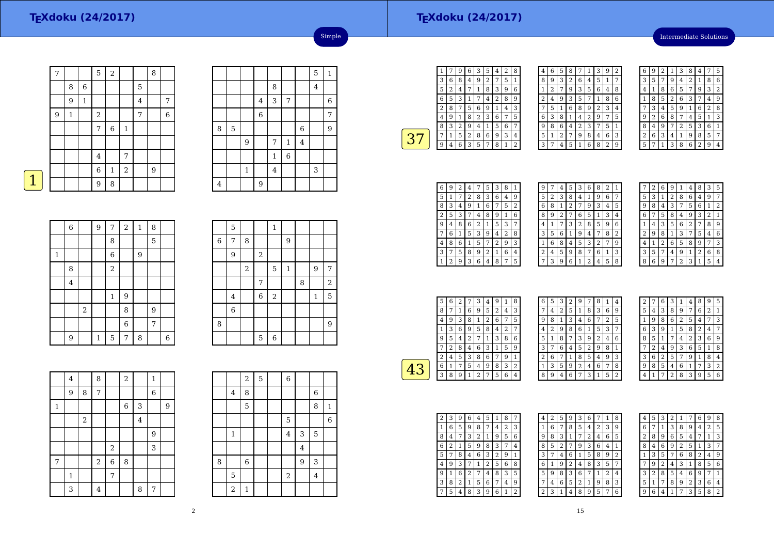#### **TEXdoku (24/2017)**

Intermediate Solutions

|   | 7 |              |             | 5              | $\sqrt{2}$   |       |   | 8 |                |
|---|---|--------------|-------------|----------------|--------------|-------|---|---|----------------|
|   |   | 8            | 6           |                |              |       | 5 |   |                |
|   |   | 9            | $\mathbf 1$ |                |              |       | 4 |   | 7              |
|   | 9 | $\mathbf{1}$ |             | $\sqrt{2}$     |              |       | 7 |   | $\overline{6}$ |
|   |   |              |             | 7              | $\,6$        | $1\,$ |   |   |                |
|   |   |              |             |                |              |       |   |   |                |
|   |   |              |             | $\overline{4}$ |              | 7     |   |   |                |
|   |   |              |             | $\overline{6}$ | $\mathbf{1}$ | $\,2$ |   | 9 |                |
| 1 |   |              |             | 9              | 8            |       |   |   |                |

|   |   |             |                |             |                  |          | 5       | $\mathbf{1}$ |
|---|---|-------------|----------------|-------------|------------------|----------|---------|--------------|
|   |   |             |                | 8           |                  |          | $\bf 4$ |              |
|   |   |             | 4              | 3           | $\boldsymbol{7}$ |          |         | 6            |
|   |   |             | $\overline{6}$ |             |                  |          |         | 7            |
| 8 | 5 |             |                |             |                  | 6        |         | 9            |
|   |   | 9           |                | 7           | $\mathbf 1$      | $\bf{4}$ |         |              |
|   |   |             |                | $\mathbf 1$ | $\overline{6}$   |          |         |              |
|   |   | $\mathbf 1$ |                | $\bf 4$     |                  |          | 3       |              |
| 4 |   |             | 9              |             |                  |          |         |              |

Simple

|  | $\mathcal{L}^{\text{max}}_{\text{max}}$ and $\mathcal{L}^{\text{max}}_{\text{max}}$ and $\mathcal{L}^{\text{max}}_{\text{max}}$ |  |
|--|---------------------------------------------------------------------------------------------------------------------------------|--|
|  |                                                                                                                                 |  |

|              | $\,$ 6 $\,$    |       | $\overline{9}$ | 7                       | $\overline{a}$ | $\mathbf 1$ | 8 |   |
|--------------|----------------|-------|----------------|-------------------------|----------------|-------------|---|---|
|              |                |       |                | 8                       |                |             | 5 |   |
| $\mathbf{1}$ |                |       |                | 6                       |                | 9           |   |   |
|              | 8              |       |                | $\overline{\mathbf{c}}$ |                |             |   |   |
|              | $\overline{4}$ |       |                |                         |                |             |   |   |
|              |                |       |                | 1                       | 9              |             |   |   |
|              |                | $\,2$ |                |                         | 8              |             | 9 |   |
|              |                |       |                |                         | $\overline{6}$ |             | 7 |   |
|              | 9              |       | 1              | 5                       | 7              | 8           |   | 6 |

|                | 5              |            |                | $\mathbf 1$ |              |   |              |                         |
|----------------|----------------|------------|----------------|-------------|--------------|---|--------------|-------------------------|
| $\overline{6}$ | 7              | 8          |                |             | 9            |   |              |                         |
|                | 9              |            | $\overline{a}$ |             |              |   |              |                         |
|                |                | $\sqrt{2}$ |                | 5           | $\mathbf{1}$ |   | 9            | 7                       |
|                |                |            | 7              |             |              | 8 |              | $\overline{\mathbf{c}}$ |
|                | 4              |            | 6              | $\sqrt{2}$  |              |   | $\mathbf{1}$ | 5                       |
|                | $\overline{6}$ |            |                |             |              |   |              |                         |
| 8              |                |            |                |             |              |   |              | 9                       |
|                |                |            | 5              | 6           |              |   |              |                         |

|   | $\bf{4}$    |       | 8          |                  | $\overline{a}$ |   | $\mathbf{1}$ |   |
|---|-------------|-------|------------|------------------|----------------|---|--------------|---|
|   | 9           | 8     | 7          |                  |                |   | 6            |   |
| 1 |             |       |            |                  | 6              | 3 |              | 9 |
|   |             | $\,2$ |            |                  |                | 4 |              |   |
|   |             |       |            |                  |                |   | 9            |   |
|   |             |       |            | $\boldsymbol{2}$ |                |   | 3            |   |
| 7 |             |       | $\sqrt{2}$ | 6                | 8              |   |              |   |
|   | $\mathbf 1$ |       |            | 7                |                |   |              |   |
|   | 3           |       | 4          |                  |                | 8 | 7            |   |

|   |                         | $\,2$            | 5 | 6              |         |                  |                |
|---|-------------------------|------------------|---|----------------|---------|------------------|----------------|
|   | 4                       | 8                |   |                |         | $\boldsymbol{6}$ |                |
|   |                         | 5                |   |                |         | 8                | $\mathbf{1}$   |
|   |                         |                  |   | 5              |         |                  | $\overline{6}$ |
|   | $\mathbf{1}$            |                  |   | $\overline{4}$ | 3       | 5                |                |
|   |                         |                  |   |                | $\bf 4$ |                  |                |
| 8 |                         | $\boldsymbol{6}$ |   |                | 9       | 3                |                |
|   | 5                       |                  |   | $\,2$          |         | $\bf 4$          |                |
|   | $\overline{\mathbf{c}}$ | $\mathbf{1}$     |   |                |         |                  |                |

| 1 | 7 | 9 | 6 | 3              | 5 | 4            | 2 | 8 |
|---|---|---|---|----------------|---|--------------|---|---|
| 3 | 6 | 8 | 4 | 9              | 2 | 7            | 5 | 1 |
| 5 | 2 | 4 | 7 | 1              | 8 | 3            | 9 | 6 |
| 6 | 5 | 3 | 1 | 7              | 4 | 2            | 8 | 9 |
| 2 | 8 | 7 | 5 | 6              | 9 | $\mathbf{1}$ | 4 | 3 |
| 4 | 9 | 1 | 8 | $\overline{c}$ | 3 | 6            | 7 | 5 |
| 8 | 3 | 2 | 9 | 4              | 1 | 5            | 6 | 7 |
| 7 | 1 | 5 | 2 | 8              | 6 | 9            | 3 | 4 |
| 9 | 4 | 6 | 3 | 5              | 7 | 8            | 1 | 2 |
|   |   |   |   |                |   |              |   |   |

| 4 | 6 | 5 | 8              |   | 1 | 3 | 9              | $\overline{2}$ |
|---|---|---|----------------|---|---|---|----------------|----------------|
| 8 | 9 | 3 | $\overline{2}$ | 6 | 4 | 5 | 1              |                |
| 1 | 2 | 7 | 9              | 3 | 5 | 6 | 4              | 8              |
| 2 | 4 | 9 | 3              | 5 | 7 | 1 | 8              | 6              |
| 7 | 5 | 1 | 6              | 8 | 9 | 2 | 3              | 4              |
| 6 | 3 | 8 | 1              | 4 | 2 | 9 | 7              | 5              |
| 9 | 8 | 6 | 4              | 2 | 3 | 7 | 5              | 1              |
| 5 | 1 | 2 | 7              | 9 | 8 | 4 | 6              | 3              |
| 3 | 7 | 4 | 5              | 1 | 6 | 8 | $\overline{2}$ | 9              |

| 6 | 9 | 2 | ı              | 3              | 8 | 4              |                | 5 |
|---|---|---|----------------|----------------|---|----------------|----------------|---|
| 3 | 5 |   | 9              | 4              | 2 | 1              | 8              | 6 |
| 4 | 1 | 8 | 6              | 5              |   | 9              | 3              | 2 |
| 1 | 8 | 5 | $\overline{2}$ | 6              | 3 |                | 4              | 9 |
| 7 | 3 | 4 | 5              | 9              | 1 | 6              | $\overline{2}$ | 8 |
| g | 2 | 6 | 8              | 7              | 4 | 5              | 1              | 3 |
| 8 | 4 | 9 |                | $\overline{2}$ | 5 | 3              | 6              | 1 |
| 2 | 6 | 3 | 4              | 1              | 9 | 8              | 5              | 7 |
| 5 |   |   | 3              | 8              | 6 | $\overline{2}$ | ä              | 4 |

| 6            | 9 | 2              | 4 | 7 | 5 | 3 | 8 | 1 |
|--------------|---|----------------|---|---|---|---|---|---|
| 5            | 1 | 7              | 2 | 8 | 3 | 6 | 4 | 9 |
| 8            | 3 | $\overline{4}$ | 9 | 1 | 6 | 7 | 5 | 2 |
| 2            | 5 | 3              |   | 4 | 8 | 9 | 1 | 6 |
| 9            | 4 | 8              | 6 | 2 | 1 | 5 | 3 | 7 |
|              | 6 | 1              | 5 | 3 | 9 | 4 | 2 | 8 |
| 4            | 8 | 6              | 1 | 5 | 7 | 2 | 9 | 3 |
| 3            | 7 | 5              | 8 | 9 | 2 | 1 | 6 | 4 |
| $\mathbf{1}$ | 2 | 9              | 3 | 6 | 4 | 8 | 7 | 5 |

| 9 | 7 | 4 | 5 | З            | 6                       | 8 | 2 | 1 |
|---|---|---|---|--------------|-------------------------|---|---|---|
| 5 | 2 | 3 | 8 | 4            | 1                       | 9 | 6 | 7 |
| 6 | 8 | 1 | 2 | 7            | 9                       | 3 | 4 | 5 |
| 8 | 9 | 2 | 7 | 6            | 5                       | 1 | 3 | 4 |
| 4 | 1 | 7 | 3 | 2            | 8                       | 5 | 9 | 6 |
| 3 | 5 | 6 | 1 | 9            | 4                       | 7 | 8 | 2 |
| 1 | 6 | 8 | 4 | 5            | 3                       | 2 | 7 | 9 |
| 2 | 4 | 5 | 9 | 8            | 7                       | 6 | 1 | 3 |
|   | 3 | 9 | 6 | $\mathbf{1}$ | $\overline{\mathbf{c}}$ | 4 | 5 | 8 |
|   |   |   |   |              |                         |   |   |   |

|   | 2 | 6 | 9 | 1              | 4 | 8 | 3              | 5 |
|---|---|---|---|----------------|---|---|----------------|---|
| 5 | 3 | 1 | 2 | 8              | 6 | 4 | 9              | 7 |
| 9 | 8 | 4 | 3 | 7              | 5 | 6 | 1              | 2 |
| 6 | 7 | 5 | 8 | 4              | 9 | 3 | $\overline{2}$ | 1 |
| 1 | 4 | 3 | 5 | 6              | 2 | 7 | 8              | 9 |
| 2 | 9 | 8 | 1 | 3              | 7 | 5 | 4              | 6 |
| 4 | 1 | 2 | 6 | 5              | 8 | 9 | 7              | 3 |
| З | 5 | 7 | 4 | 9              | 1 | 2 | 6              | 8 |
| 8 | 6 | 9 |   | $\overline{2}$ | 3 | 1 | 5              | 4 |

| 5 | 6 | $\overline{2}$ | 7 | 3              | 4 | 9 | 1 | 8 |  |
|---|---|----------------|---|----------------|---|---|---|---|--|
| 8 |   | 1              | 6 | 9              | 5 | 2 | 4 | 3 |  |
| 4 | 9 | 3              | 8 | $\mathbf{1}$   | 2 | 6 | 7 | 5 |  |
|   | 3 | 6              | 9 | 5              | 8 | 4 | 2 |   |  |
| 9 | 5 | 4              | 2 | 7              | 1 | 3 | 8 | 6 |  |
|   | 2 | 8              | 4 | 6              | 3 | 1 | 5 | 9 |  |
| 2 | 4 | 5              | 3 | 8              | 6 |   | 9 | 1 |  |
| 6 | 1 | 7              | 5 | 4              | 9 | 8 | 3 | 2 |  |
| ς | 8 | 9              | 1 | $\overline{2}$ | 7 | 5 | 6 | 4 |  |
|   |   |                |   |                |   |   |   |   |  |

| 6 | 5 | 3 | $\overline{2}$ | 9 | 7 | 8              | 1 | 4 |  |
|---|---|---|----------------|---|---|----------------|---|---|--|
|   | 4 | 2 | 5              | 1 | 8 | 3              | 6 | 9 |  |
| 9 | 8 | 1 | 3              | 4 | 6 | 7              | 2 | 5 |  |
| 4 | 2 | 9 | 8              | 6 | 1 | 5              | 3 | 7 |  |
| 5 | 1 | 8 | 7              | 3 | 9 | $\overline{2}$ | 4 | 6 |  |
| 3 | 7 | 6 | 4              | 5 | 2 | 9              | 8 | 1 |  |
| 2 | 6 | 7 | 1              | 8 | 5 | 4              | 9 | 3 |  |
| 1 | 3 | 5 | 9              | 2 | 4 | 6              | 7 | 8 |  |
| 8 | 9 | 4 | 6              | 7 | 3 | 1              | 5 | 2 |  |

| 2 |   | 6 | 3              |                | 4              | 8              | g              | 5 |
|---|---|---|----------------|----------------|----------------|----------------|----------------|---|
| 5 | 4 | 3 | 8              | g              | 7              | 6              | $\overline{2}$ | 1 |
| 1 | 9 | 8 | 6              | $\overline{c}$ | 5              | 4              | 7              | 3 |
| 6 | 3 | g | 1              | 5              | 8              | $\overline{2}$ | 4              |   |
| 8 | 5 | 1 | 7              | 4              | $\overline{2}$ | 3              | 6              | 9 |
|   | 2 | 4 | 9              | 3              | 6              | 5              | 1              | 8 |
| 3 | 6 | 2 | 5              | 7              | 9              | 1              | 8              | 4 |
| g | 8 | 5 | 4              | 6              | 1              | 7              | 3              | 2 |
| 4 | 1 | 7 | $\overline{2}$ | 8              | 3              | 9              | 5              | 6 |

| 2 | 3 | 9 | 6 | 4              | 5 | 1 | 8 |   |  |
|---|---|---|---|----------------|---|---|---|---|--|
| 1 | 6 | 5 | 9 | 8              | 7 | 4 | 2 | 3 |  |
| 8 | 4 | 7 | 3 | $\overline{2}$ | 1 | 9 | 5 | 6 |  |
| 6 | 2 | 1 | 5 | 9              | 8 | 3 |   | 4 |  |
| 5 | 7 | 8 | 4 | 6              | 3 | 2 | 9 | 1 |  |
| 4 | 9 | 3 |   | 1              | 2 | 5 | 6 | 8 |  |
| g | 1 | 6 | 2 | 7              | 4 | 8 | 3 | 5 |  |
| 3 | 8 | 2 | 1 | 5              | 6 | 7 | 4 | 9 |  |
| 7 | 5 | 4 | 8 | 3              | 9 | 6 | 1 | 2 |  |

| 4 | 2 | 5 | 9 | 3              | 6 |   | 1 | 8 |
|---|---|---|---|----------------|---|---|---|---|
| 1 | 6 | 7 | 8 | 5              | 4 | 2 | 3 | 9 |
| 9 | 8 | 3 | 1 | 7              | 2 | 4 | 6 | 5 |
| 8 | 5 | 2 | 7 | 9              | 3 | 6 | 4 | 1 |
| 3 | 7 | 4 | 6 | 1              | 5 | 8 | 9 | 2 |
| 6 | 1 | 9 | 2 | 4              | 8 | 3 | 5 | 7 |
| 5 | 9 | 8 | 3 | 6              | 7 | 1 | 2 | 4 |
| 7 | 4 | 6 | 5 | $\overline{2}$ | 1 | 9 | 8 | 3 |
| 2 | 3 | 1 | 4 | 8              | 9 | 5 | 7 | 6 |

| 4 | 5 | 3 | $\overline{2}$ | 1              | 7              | 6              | 9              | 8 |
|---|---|---|----------------|----------------|----------------|----------------|----------------|---|
| 6 | 7 | 1 | 3              | 8              | 9              | $\overline{4}$ | $\overline{2}$ | 5 |
| 2 | 8 | 9 | 6              | 5              | 4              | 7              | 1              | 3 |
| 8 | 4 | 6 | 9              | $\overline{2}$ | 5              | 1              | 3              | 7 |
| 1 | 3 | 5 | 7              | 6              | 8              | 2              | 4              | 9 |
| 7 | 9 | 2 | 4              | 3              | $\mathbf{1}$   | 8              | 5              | 6 |
| 3 | 2 | 8 | 5              | 4              | 6              | 9              | 7              | 1 |
| 5 | 1 | 7 | 8              | 9              | $\overline{2}$ | 3              | 6              | 4 |
| 9 | 6 | 4 | 1              | 7              | 3              | 5              | 8              | 2 |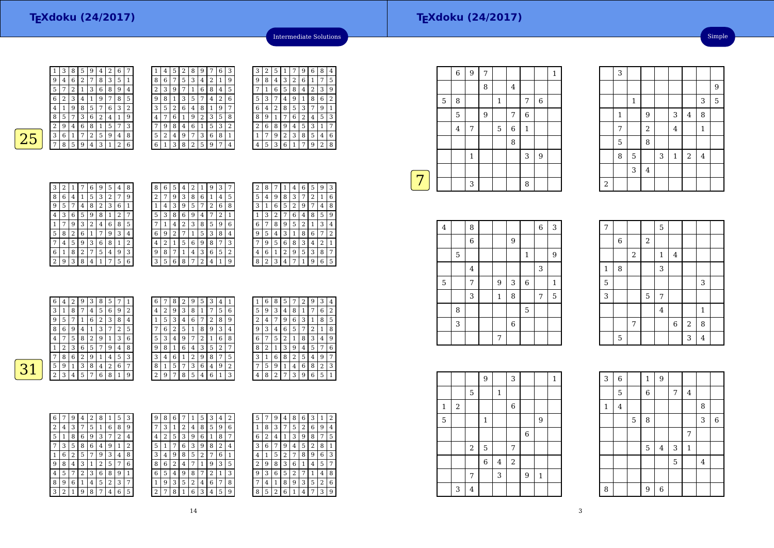| g |   | 6 | 2 |   | 8 | З | 5 | 1              |
|---|---|---|---|---|---|---|---|----------------|
| 5 |   | 2 |   | 3 | 6 | 8 | 9 | 4              |
| 6 | 2 | 3 | 4 |   | 9 |   | 8 | 5              |
| 4 |   | 9 | 8 | 5 |   | 6 | 3 | $\overline{2}$ |
| 8 | 5 |   | 3 | 6 | 2 | 4 | 1 | 9              |
| 2 | y | 4 | 6 | 8 |   | Ⴢ | 7 | 3              |
| 3 | 6 | 1 |   | 2 | 5 | 9 | 4 | 8              |
|   | 8 | 5 | 9 | 4 | 3 |   | 2 | 6              |
|   |   |   |   |   |   |   |   |                |



| ξ | З | 2 | 5              | 1 | 7 | 9                       | 6 | 8 | 4 |
|---|---|---|----------------|---|---|-------------------------|---|---|---|
|   | 9 | 8 | 4              | 3 | 2 | 6                       | 1 | 7 | 5 |
| ; |   | 1 | 6              | 5 | 8 | 4                       | 2 | 3 | 9 |
| ì | 5 | 3 | 7              | 4 | 9 | 1                       | 8 | 6 | 2 |
| 7 | 6 | 4 | $\overline{2}$ | 8 | 5 | 3                       | 7 | 9 | 1 |
| ξ | 8 | 9 | 1              |   | 6 | $\overline{\mathbf{c}}$ | 4 | 5 | 3 |
| ì | 2 | 6 | 8              | 9 | 4 | 5                       | 3 | 1 |   |
|   | 1 |   | 9              | 2 | 3 | 8                       | 5 | 4 | 6 |
|   | 4 | 5 | 3              | 6 | 1 | 7                       | 9 | 2 | 8 |
|   |   |   |                |   |   |                         |   |   |   |

Intermediate Solutions

|  |  | 3 2 1 7 6 95 |            | 4 8 |  |
|--|--|--------------|------------|-----|--|
|  |  |              | $5 \mid 3$ |     |  |
|  |  |              |            |     |  |

| 8 | 6 | 4 |                | 5 | 3 | 2 |   | 9 |
|---|---|---|----------------|---|---|---|---|---|
| 9 | 5 |   | 4              | 8 | 2 | 3 | 6 | 1 |
| 4 | 3 | 6 | 5              | 9 | 8 | 1 | 2 |   |
| 1 | 7 | 9 | 3              | 2 | 4 | 6 | 8 | 5 |
| 5 | 8 | 2 | 6              | 1 |   | 9 | 3 | 4 |
| 7 | 4 | 5 | 9              | 3 | 6 | 8 | 1 | 2 |
| 6 | 1 | 8 | $\overline{2}$ |   | 5 | 4 | 9 | 3 |
| 2 | 9 | κ | 8              |   |   | 7 | 5 | 6 |

| $\overline{2}$<br>3<br>8<br>6<br>5<br>9<br>1<br>7<br>4<br>1<br>3<br>5<br>2<br>8<br>9<br>6<br>4<br>5<br>6<br>3<br>$\overline{2}$<br>8<br>9<br>1<br>7<br>4<br>7<br>2<br>3<br>8<br>6<br>5<br>9<br>1<br>4<br>6<br>3<br>9<br>5<br>8<br>2<br>1<br>4<br>8<br>3<br>2<br>6<br>9<br>5<br>4<br>1<br>9<br>6<br>2<br>8<br>3<br>1<br>4<br>5<br>7<br>3<br>8<br>2<br>5<br>9<br>6<br>4 | 8 | 6 | 5 | 4 | 2 | 9 | З | 7 |
|-----------------------------------------------------------------------------------------------------------------------------------------------------------------------------------------------------------------------------------------------------------------------------------------------------------------------------------------------------------------------|---|---|---|---|---|---|---|---|
|                                                                                                                                                                                                                                                                                                                                                                       |   |   |   |   |   |   |   |   |
|                                                                                                                                                                                                                                                                                                                                                                       |   |   |   |   |   |   |   |   |
|                                                                                                                                                                                                                                                                                                                                                                       |   |   |   |   |   |   |   |   |
|                                                                                                                                                                                                                                                                                                                                                                       |   |   |   |   |   |   |   |   |
|                                                                                                                                                                                                                                                                                                                                                                       |   |   |   |   |   |   |   |   |
|                                                                                                                                                                                                                                                                                                                                                                       |   |   |   |   |   |   |   |   |
|                                                                                                                                                                                                                                                                                                                                                                       |   |   |   |   |   |   |   |   |
|                                                                                                                                                                                                                                                                                                                                                                       |   |   |   |   |   |   |   |   |

| 2 | 8 | 7 |   | 4 | 6 | 5 | 9 | З |
|---|---|---|---|---|---|---|---|---|
| 5 | 4 | 9 | 8 | 3 | 7 | 2 | 1 | 6 |
| 3 | 1 | 6 | 5 | 2 | 9 | 7 | 4 | 8 |
| 1 | 3 | 2 | 7 | 6 | 4 | 8 | 5 | 9 |
| 6 | 7 | 8 | 9 | 5 | 2 | 1 | 3 | 4 |
| 9 | 5 | 4 | 3 | 1 | 8 | 6 | 7 | 2 |
|   | 9 | 5 | 6 | 8 | 3 | 4 | 2 | 1 |
| 4 | 6 | 1 | 2 | 9 | 5 | 3 | 8 | 7 |
| 8 | 2 | 3 | 4 | 7 | 1 | 9 | 6 | 5 |

| 6              | 4 | 2 | 9 | 3 | 8 | 5              | 7              |                |                | 7 | 8              | 2 | 9 | 5 | 3  | 4 |                |                | 6 | 8 | 5              | 7 | 2              | 9 | З              | 4              |
|----------------|---|---|---|---|---|----------------|----------------|----------------|----------------|---|----------------|---|---|---|----|---|----------------|----------------|---|---|----------------|---|----------------|---|----------------|----------------|
| 3              | Ŧ | 8 | 7 | 4 | 5 | 6              | 9              | $\overline{2}$ | 4              | 2 | 9              | 3 | 8 |   |    | 5 | 6              | 5              | 9 | 3 | 4              | 8 | -1             | ⇁ | 6              | 2              |
| 9              | 5 | 7 |   | 6 | ∠ | 3              | 8              | 4              |                | 5 | 3              | 4 | 6 | ⇁ | 4  | 8 | 9              | ∍              | 4 | 7 | 9              | 6 | 3              |   | 8              | ' 5            |
| 8              | 6 | 9 | 4 |   | 3 | $\overline{7}$ | $\Omega$       | 5              | $\overline{ }$ | 6 | 2              | 5 |   | 8 |    | 3 | $\overline{4}$ | 9              | 3 | 4 | 6              | 5 | 7              | ∍ |                | 8              |
| $\overline{4}$ | 7 | 5 | 8 | ി | 9 |                | 3              | 6              | 5              | 3 | 4              | 9 | 7 | ົ |    | 6 | 8              | 6              | 7 | 5 | 2              | 1 | 8              | З | 4 9            |                |
|                | 2 | 3 | 6 | 5 | 7 | 9              | $\overline{4}$ | 8              | 9              | 8 | T              | 6 | 4 | 3 | 5. | 2 | 7              | 8              |   |   | 3              | 9 | $\overline{4}$ | 5 |                | $\overline{6}$ |
| $\overline{ }$ | 8 | 6 | 2 | 9 |   | 4              | 5              | 3              | З              | 4 | 6              |   | 2 | 9 | 8  | 7 | 5              | З              |   | 6 | 8              | 2 | 5              | 4 | 9              | 7              |
| 5              | 9 | 1 | 3 | 8 | 4 | 2              | 6              | 7              | 8              |   | 5              | 7 | 3 | 6 | 4  | 9 | 2              | $\overline{ }$ | 5 | 9 |                | 4 | 6              | 8 |                | 3              |
| 2              | 3 | 4 | 5 | ⇁ | 6 | 8              |                | 9              | ി              | 9 | $\overline{ }$ | 8 | 5 | 4 | 6  |   | 3              | 4              | 8 | 2 | $\overline{ }$ | 3 | 9              | 6 | 5 <sup>1</sup> | 1              |
|                |   |   |   |   |   |                |                |                |                |   |                |   |   |   |    |   |                |                |   |   |                |   |                |   |                |                |

| 6 | 7 | 9 | 4 | $\overline{2}$ | 8            | 1 | 5 | 3 | 9              |
|---|---|---|---|----------------|--------------|---|---|---|----------------|
| 2 | 4 | 3 | 7 | 5              | $\mathbf{1}$ | 6 | 8 | 9 |                |
| 5 | 1 | 8 | 6 | 9              | 3            | 7 | 2 | 4 | 4              |
|   | 3 | 5 | 8 | 6              | 4            | 9 | 1 | 2 | 5              |
| 1 | 6 | 2 | 5 | 7              | 9            | 3 | 4 | 8 | 3              |
| 9 | 8 | 4 | 3 | 1              | 2            | 5 | 7 | 6 | 8              |
| 4 | 5 | 7 | 2 | 3              | 6            | 8 | 9 | 1 | 6              |
| 8 | 9 | 6 | 1 | 4              | 5            | 2 | 3 | 7 | 1              |
| 3 | 2 | 1 | 9 | 8              | 7            | 4 | 6 | 5 | $\overline{2}$ |

| 9 | 8 | 6 |   | 1 | 5 | 3 | 4 | 2 | 5 | 7 | 9 |
|---|---|---|---|---|---|---|---|---|---|---|---|
| 7 | 3 | 1 | 2 | 4 | 8 | 5 | 9 | 6 | 1 | 8 | 3 |
| 4 | 2 | 5 | З | 9 | 6 | 1 | 8 | 7 | 6 | 2 | 4 |
| 5 | 1 | 7 | 6 | 3 | 9 | 8 | 2 | 4 | З | 6 | 7 |
| 3 | 4 | 9 | 8 | 5 | 2 |   | 6 | 1 | 4 | 1 | 5 |
| 8 | 6 | 2 | 4 | 7 | 1 | 9 | 3 | 5 | 2 | 9 | 8 |
| 6 | 5 | 4 | 9 | 8 |   | 2 | 1 | 3 | 9 | 3 | 6 |
| 1 | 9 | 3 | 5 | 2 | 4 | 6 | 7 | 8 |   | 4 | 1 |
| 2 | 7 | 8 |   | 6 | 3 | 4 | 5 | 9 | 8 | 5 | 2 |
|   |   |   |   |   |   |   |   |   |   |   |   |

| 5 |   | 9 | 4              | 8 | 6 | 3              | 1              | 2 |
|---|---|---|----------------|---|---|----------------|----------------|---|
| 1 | 8 | 3 |                | 5 | 2 | 6              | 9              | 4 |
| 6 | 2 | 4 | 1              | 3 | 9 | 8              | 7              | 5 |
| 3 | 6 | 7 | 9              | 4 | 5 | $\overline{2}$ | 8              | 1 |
| 4 | 1 | 5 | $\overline{2}$ | 7 | 8 | 9              | 6              | 3 |
| 2 | 9 | 8 | 3              | 6 | 1 | 4              | 5              | 7 |
| 9 | 3 | 6 | 5              | 2 | 7 | 1              | 4              | 8 |
| 7 | 4 | 1 | 8              | 9 | 3 | 5              | $\overline{2}$ | 6 |
| 8 | 5 | 2 | 6              |   | 4 |                | 3              | 9 |

|   |   | 6              | $\overline{9}$ | 7                |              |         |             |             | $\mathbf 1$ |
|---|---|----------------|----------------|------------------|--------------|---------|-------------|-------------|-------------|
|   |   |                |                | 8                |              | $\bf 4$ |             |             |             |
|   | 5 | 8              |                |                  | $\mathbf{1}$ |         | 7           | $\,$ 6 $\,$ |             |
|   |   | 5              |                | $\boldsymbol{9}$ |              | 7       | 6           |             |             |
|   |   | $\overline{4}$ | 7              |                  | 5            | $\,6$   | $\mathbf 1$ |             |             |
|   |   |                |                |                  |              | 8       |             |             |             |
|   |   |                | $\mathbf 1$    |                  |              |         | 3           | 9           |             |
|   |   |                |                |                  |              |         |             |             |             |
| 7 |   |                | 3              |                  |              |         | 8           |             |             |
|   |   |                |                |                  |              |         |             |             |             |

| 3<br>8<br>$\overline{6}$<br>$\bf 4$<br>$\boldsymbol{6}$<br>9<br>9<br>5<br>$\mathbf{1}$<br>3<br>$\overline{4}$<br>5<br>3<br>7<br>$\,$ 6 $\,$<br>9<br>$\mathbf{1}$<br>3<br>8<br>5<br>$\mathbf{1}$<br>7<br>8<br>5<br>3<br>$\,$ 6 $\,$<br>7 |  |  |  |  |  |
|-----------------------------------------------------------------------------------------------------------------------------------------------------------------------------------------------------------------------------------------|--|--|--|--|--|
|                                                                                                                                                                                                                                         |  |  |  |  |  |
|                                                                                                                                                                                                                                         |  |  |  |  |  |
|                                                                                                                                                                                                                                         |  |  |  |  |  |
|                                                                                                                                                                                                                                         |  |  |  |  |  |
|                                                                                                                                                                                                                                         |  |  |  |  |  |
|                                                                                                                                                                                                                                         |  |  |  |  |  |
|                                                                                                                                                                                                                                         |  |  |  |  |  |
|                                                                                                                                                                                                                                         |  |  |  |  |  |
|                                                                                                                                                                                                                                         |  |  |  |  |  |

| 7              |             |       |                | 5              |                |                |                |  |
|----------------|-------------|-------|----------------|----------------|----------------|----------------|----------------|--|
|                | $\,$ 6 $\,$ |       | $\overline{c}$ |                |                |                |                |  |
|                |             | $\,2$ |                | $\,1\,$        | $\bf 4$        |                |                |  |
| $\mathbf 1$    | 8           |       |                | 3              |                |                |                |  |
| 5              |             |       |                |                |                |                | 3              |  |
| $\overline{3}$ |             |       | 5              | $\overline{7}$ |                |                |                |  |
|                |             |       |                | $\overline{4}$ |                |                | $\mathbf{1}$   |  |
|                |             | 7     |                |                | $\overline{6}$ | $\overline{2}$ | 8              |  |
|                | 5           |       |                |                |                | 3              | $\overline{4}$ |  |

3

1

7

2

1

 $\frac{5}{\sqrt{8}}$ 8

> 3<sup>4</sup>

 $\frac{1}{3}$   $\frac{1}{3}$   $\frac{5}{3}$ 

 $\frac{2}{4}$ 

<sup>9</sup> <sup>3</sup> <sup>4</sup> <sup>8</sup>

 $\begin{array}{c|c|c|c|c|c|c} \hline 7 & 2 & 4 & 1 \\ \hline \end{array}$ 

 $5 \mid$   $3 \mid 1$ 

|              |   |                | 9              |         | 3     |             |              | $\mathbf{1}$ |  |
|--------------|---|----------------|----------------|---------|-------|-------------|--------------|--------------|--|
|              |   | 5              |                | 1       |       |             |              |              |  |
| $\mathbf{1}$ | 2 |                |                |         | $\,6$ |             |              |              |  |
| 5            |   |                | $\mathbf{1}$   |         |       |             | 9            |              |  |
|              |   |                |                |         |       | $\,$ 6 $\,$ |              |              |  |
|              |   | $\,2$          | $\mathbf 5$    |         | 7     |             |              |              |  |
|              |   |                | $\overline{6}$ | $\bf 4$ | $\,2$ |             |              |              |  |
|              |   | 7              |                | 3       |       | 9           | $\mathbf{1}$ |              |  |
|              | 3 | $\overline{4}$ |                |         |       |             |              |              |  |

| 3           | $\overline{6}$ |   | $\mathbf{1}$   | $\overline{9}$          |   |                |         |             |
|-------------|----------------|---|----------------|-------------------------|---|----------------|---------|-------------|
|             | 5              |   | $\overline{6}$ |                         | 7 | $\overline{4}$ |         |             |
| $\mathbf 1$ | $\overline{4}$ |   |                |                         |   |                | 8       |             |
|             |                | 5 | 8              |                         |   |                | 3       | $\,$ 6 $\,$ |
|             |                |   |                |                         |   | 7              |         |             |
|             |                |   | 5              | $\overline{\mathbf{4}}$ | 3 | $\mathbf 1$    |         |             |
|             |                |   |                |                         | 5 |                | $\bf 4$ |             |
|             |                |   |                |                         |   |                |         |             |
| 8           |                |   | 9              | $\overline{6}$          |   |                |         |             |

9 $\overline{5}$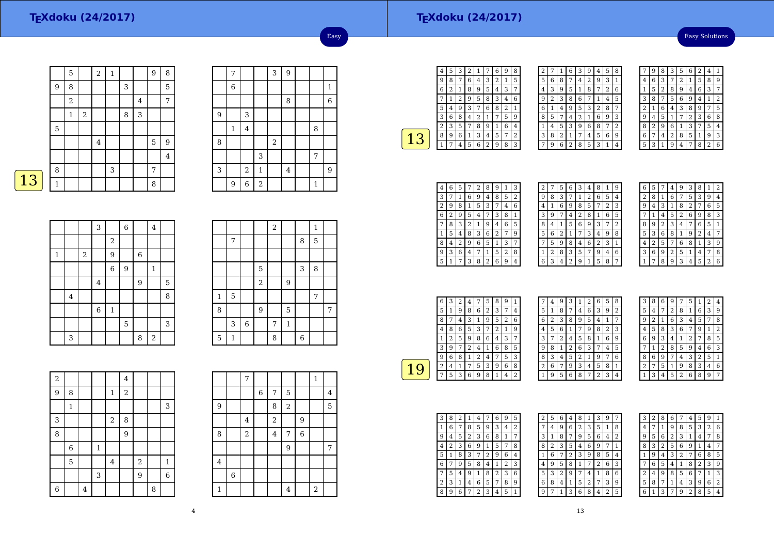#### **TEXdoku (24/2017)**

Easy Solutions

|   |                | 5                |            | $\overline{a}$ | $\mathbf{1}$ |   |   | 9 | 8              |
|---|----------------|------------------|------------|----------------|--------------|---|---|---|----------------|
|   | 9              | 8                |            |                |              | 3 |   |   | 5              |
|   |                | $\boldsymbol{2}$ |            |                |              |   | 4 |   | 7              |
|   |                | 1                | $\sqrt{2}$ |                |              | 8 | 3 |   |                |
|   | $\overline{5}$ |                  |            |                |              |   |   |   |                |
|   |                |                  |            | $\bf 4$        |              |   |   | 5 | 9              |
|   |                |                  |            |                |              |   |   |   | $\overline{4}$ |
|   | 8              |                  |            |                | 3            |   |   | 7 |                |
| 3 | 1              |                  |            |                |              |   |   | 8 |                |
|   |                |                  |            |                |              |   |   |   |                |

|        | 7            |                |            | 3          | $\overline{9}$ |              |              |
|--------|--------------|----------------|------------|------------|----------------|--------------|--------------|
|        | 6            |                |            |            |                |              | $\mathbf{1}$ |
|        |              |                |            |            | 8              |              | 6            |
| 9      |              | 3              |            |            |                |              |              |
|        | $\mathbf{1}$ | $\overline{4}$ |            |            |                | 8            |              |
| $\, 8$ |              |                |            | $\sqrt{2}$ |                |              |              |
|        |              |                | 3          |            |                | 7            |              |
| 3      |              | $\sqrt{2}$     | $1\,$      |            | $\bf 4$        |              | 9            |
|        | 9            | $\overline{6}$ | $\sqrt{2}$ |            |                | $\mathbf{1}$ |              |

Easy

| $\mathcal{L}(\mathcal{L})$ and $\mathcal{L}(\mathcal{L})$ and $\mathcal{L}(\mathcal{L})$ and $\mathcal{L}(\mathcal{L})$ | ٠<br><b>STATE OF STATE OF STATE OF STATE OF STATE OF STATE OF STATE OF STATE OF STATE OF STATE OF STATE OF STATE OF S</b> |
|-------------------------------------------------------------------------------------------------------------------------|---------------------------------------------------------------------------------------------------------------------------|
|                                                                                                                         |                                                                                                                           |

 $\sqrt{2}$ 

|              |                         |       | 3              |                | $\overline{6}$ |                | $\overline{4}$ |   |
|--------------|-------------------------|-------|----------------|----------------|----------------|----------------|----------------|---|
|              |                         |       |                | $\overline{a}$ |                |                |                |   |
| $\mathbf{1}$ |                         | $\,2$ |                | 9              |                | $\overline{6}$ |                |   |
|              |                         |       |                | $\overline{6}$ | 9              |                | 1              |   |
|              |                         |       | $\overline{4}$ |                |                | 9              |                | 5 |
|              | $\overline{\mathbf{4}}$ |       |                |                |                |                |                | 8 |
|              |                         |       | $\,6$          | $\mathbf 1$    |                |                |                |   |
|              |                         |       |                |                | $\mathbf 5$    |                |                | 3 |
|              | 3                       |       |                |                |                | 8              | $\,2$          |   |

|              |              |                |                | $\,2$ |              |                | $\mathbf{1}$ |   |
|--------------|--------------|----------------|----------------|-------|--------------|----------------|--------------|---|
|              | 7            |                |                |       |              | 8              | 5            |   |
|              |              |                |                |       |              |                |              |   |
|              |              |                | 5              |       |              | 3              | 8            |   |
|              |              |                | $\overline{a}$ |       | 9            |                |              |   |
| $\mathbf{1}$ | 5            |                |                |       |              |                | 7            |   |
| 8            |              |                | 9              |       | 5            |                |              | 7 |
|              | 3            | $\overline{6}$ |                | 7     | $\mathbf{1}$ |                |              |   |
| 5            | $\mathbf{1}$ |                |                | 8     |              | $\overline{6}$ |              |   |

| $\overline{a}$ |              |   |         |                | $\overline{4}$   |       |   |                |
|----------------|--------------|---|---------|----------------|------------------|-------|---|----------------|
| 9              | 8            |   |         | $\mathbf{1}$   | $\sqrt{2}$       |       |   |                |
|                | $\mathbf{1}$ |   |         |                |                  |       |   | 3              |
| 3              |              |   |         | $\,2$          | 8                |       |   |                |
| 8              |              |   |         |                | $\boldsymbol{9}$ |       |   |                |
|                | 6            |   | $\,1\,$ |                |                  |       |   |                |
|                | 5            |   |         | $\overline{4}$ |                  | $\,2$ |   | $\mathbf{1}$   |
|                |              |   | 3       |                |                  | 9     |   | $\overline{6}$ |
| $\overline{6}$ |              | 4 |         |                |                  |       | 8 |                |

|              |             | 7              |             |                |                |                | $\mathbf{1}$ |         |
|--------------|-------------|----------------|-------------|----------------|----------------|----------------|--------------|---------|
|              |             |                | $\,$ 6 $\,$ | 7              | 5              |                |              | $\bf 4$ |
| 9            |             |                |             | 8              | $\overline{a}$ |                |              | 5       |
|              |             | $\overline{4}$ |             | $\,2$          |                | 9              |              |         |
| 8            |             | $\overline{a}$ |             | $\overline{4}$ | 7              | $\overline{6}$ |              |         |
|              |             |                |             |                | 9              |                |              | 7       |
| $\bf 4$      |             |                |             |                |                |                |              |         |
|              | $\,$ 6 $\,$ |                |             |                |                |                |              |         |
| $\mathbf{1}$ |             |                |             |                | $\overline{4}$ |                | $\,2$        |         |

┯

┱

┑

| 4              | 5 | 3 | 2 | 1 |   | 6 | 9 | 8              |
|----------------|---|---|---|---|---|---|---|----------------|
| 9              | 8 | 7 | 6 | 4 | 3 | 2 | 1 | 5              |
| 6              | 2 | 1 | 8 | 9 | 5 | 4 | 3 | 7              |
|                | 1 | 2 | 9 | 5 | 8 | 3 | 4 | 6              |
| 5              | 4 | 9 | 3 |   | 6 | 8 | 2 | $\overline{1}$ |
| 3              | 6 | 8 | 4 | 2 | 1 | 7 | 5 | g              |
| $\overline{c}$ | 3 | 5 | 7 | 8 | 9 | 1 | 6 | 4              |
| 8              | 9 | 6 | 1 | 3 | 4 | 5 | 7 | 2              |
|                | 7 | 4 | 5 | 6 | 2 | 9 | 8 | 3              |
|                |   |   |   |   |   |   |   |                |

| 2 |   | 1 | 6              | 3 | 9 | 4 | 5 | 8 |
|---|---|---|----------------|---|---|---|---|---|
| 5 | 6 | 8 |                | 4 | 2 | 9 | 3 | 1 |
| 4 | 3 | 9 | 5              | 1 | 8 |   | 2 | 6 |
| 9 | 2 | 3 | 8              | 6 | 7 | 1 | 4 | 5 |
| 6 | 1 | 4 | 9              | 5 | 3 | 2 | 8 | 7 |
| 8 | 5 | 7 | 4              | 2 | 1 | 6 | 9 | 3 |
| 1 | 4 | 5 | 3              | 9 | 6 | 8 | 7 | 2 |
| 3 | 8 | 2 | 1              | 7 | 4 | 5 | 6 | 9 |
| 7 | g | 6 | $\overline{2}$ | 8 | 5 | 3 | 1 | 4 |

|   | 9 | 8 | З | 5 | 6              | $\overline{c}$ | 4              | 1 |
|---|---|---|---|---|----------------|----------------|----------------|---|
| 4 | 6 | 3 |   | 2 | 1              | 5              | 8              | 9 |
| 1 | 5 | 2 | 8 | 9 | 4              | 6              | 3              | 7 |
| 3 | 8 | 7 | 5 | 6 | 9              | 4              | 1              | 2 |
| 2 | 1 | 6 | 4 | 3 | 8              | g              | 7              | 5 |
| 9 | 4 | 5 | 1 | 7 | $\overline{2}$ | 3              | 6              | 8 |
| 8 | 2 | 9 | 6 | 1 | 3              | 7              | 5              | 4 |
| 6 | 7 | 4 | 2 | 8 | 5              | 1              | 9              | 3 |
| 5 | 3 |   | 9 | 4 | 7              | 8              | $\overline{2}$ | 6 |

| 4 | 6 | 5              |   | 2 | 8 | 9 | 1 | З |
|---|---|----------------|---|---|---|---|---|---|
| 3 | 7 | 1              | 6 | 9 | 4 | 8 | 5 | 2 |
| 2 | 9 | 8              | 1 | 5 | 3 | 7 | 4 | 6 |
| 6 | 2 | 9              | 5 | 4 | 7 | 3 | 8 | 1 |
| 7 | 8 | 3              | 2 | 1 | 9 | 4 | 6 | 5 |
| 1 | 5 | 4              | 8 | 3 | 6 | 2 | 7 | 9 |
| 8 | 4 | $\overline{2}$ | 9 | 6 | 5 | 1 | 3 | 7 |
| 9 | 3 | 6              | 4 | 7 | 1 | 5 | 2 | 8 |
| 5 | 1 | 7              | 3 | 8 | 2 | 6 | 9 | 4 |

| 2 | 7 | 5 | 6 | З | 4            | 8              | 1 | 9            |
|---|---|---|---|---|--------------|----------------|---|--------------|
| 9 | 8 | 3 | 7 | 1 | 2            | 6              | 5 | 4            |
| 4 | 1 | 6 | 9 | 8 | 5            | 7              | 2 | 3            |
| 3 | 9 | 7 | 4 | 2 | 8            | 1              | 6 | 5            |
| 8 | 4 | 1 | 5 | 6 | 9            | 3              | 7 | 2            |
| 5 | 6 | 2 | 1 | 7 | 3            | 4              | 9 | 8            |
|   | 5 | 9 | 8 | 4 | 6            | $\overline{2}$ | 3 | $\mathbf{1}$ |
| 1 | 2 | 8 | 3 | 5 | 7            | 9              | 4 | 6            |
| 6 | 3 | 4 | 2 | 9 | $\mathbf{1}$ | 5              | 8 | 7            |
|   |   |   |   |   |              |                |   |              |

| 6                       | 5 |                | 4 | 9 | З | 8 |                | 2 |
|-------------------------|---|----------------|---|---|---|---|----------------|---|
| $\overline{\mathbf{c}}$ | 8 | 1              | 6 | 7 | 5 | 3 | 9              | 4 |
| g                       | 4 | 3              | 1 | 8 | 2 | 7 | 6              | 5 |
|                         | 1 | 4              | 5 | 2 | 6 | g | 8              | 3 |
| 8                       | 9 | $\overline{2}$ | 3 | 4 | 7 | 6 | 5              | 1 |
| 5                       | 3 | 6              | 8 | 1 | 9 | 2 | 4              | 7 |
| 4                       | 2 | 5              | 7 | 6 | 8 | 1 | 3              | 9 |
| 3                       | 6 | 9              | 2 | 5 | 1 | 4 | 7              | 8 |
|                         |   | 8              | 9 | 3 | 4 | 5 | $\overline{2}$ | 6 |

| 6 | 3 | 2 | 4 |   | 5 | 8 | 9 | 1 |  |
|---|---|---|---|---|---|---|---|---|--|
| 5 |   | 9 | 8 | 6 | 2 | 3 | 7 | 4 |  |
| 8 | 7 | 4 | 3 | 1 | 9 | 5 | 2 | 6 |  |
| 4 | 8 | 6 | 5 | 3 |   | 2 | 1 | 9 |  |
|   | 2 | 5 | 9 | 8 | 6 | 4 | 3 | 7 |  |
| 3 | 9 | 7 | 2 | 4 | 1 | 6 | 8 | 5 |  |
| 9 | 6 | 8 |   | 2 | 4 |   | 5 | 3 |  |
| 2 | 4 | 1 |   | 5 | 3 | 9 | 6 | 8 |  |
|   | 5 | 3 | 6 | 9 | 8 |   | 4 | 2 |  |
|   |   |   |   |   |   |   |   |   |  |

|   | 4 | 9 | 3 | 1              | 2 | 6              | 5 | 8 |  |
|---|---|---|---|----------------|---|----------------|---|---|--|
| 5 | 1 | 8 | 7 | 4              | 6 | 3              | 9 | 2 |  |
| 6 | 2 | 3 | 8 | 9              | 5 | 4              | 1 | 7 |  |
| 4 | 5 | 6 | 1 | 7              | 9 | 8              | 2 | 3 |  |
| 3 | 7 | 2 | 4 | 5              | 8 | 1              | 6 | 9 |  |
| 9 | 8 | 1 | 2 | 6              | 3 |                | 4 | 5 |  |
| 8 | 3 | 4 | 5 | $\overline{2}$ | 1 | 9              | 7 | 6 |  |
| 2 | 6 | 7 | 9 | 3              | 4 | 5              | 8 | 1 |  |
| 1 | 9 | 5 | 6 | 8              | 7 | $\overline{2}$ | 3 | 4 |  |

| 3 | 8 | 6              | g              |   | 5              | 1              | $\overline{c}$ | 4              |
|---|---|----------------|----------------|---|----------------|----------------|----------------|----------------|
| 5 | 4 |                | $\overline{2}$ | 8 | 1              | 6              | 3              | 9              |
| 9 | 2 | 1              | 6              | 3 | 4              | 5              | 7              | 8              |
| 4 | 5 | 8              | 3              | 6 | 7              | 9              | 1              | $\overline{2}$ |
| 6 | 9 | 3              | 4              | 1 | $\overline{2}$ | 7              | 8              | 5              |
| 7 | 1 | $\overline{2}$ | 8              | 5 | 9              | 4              | 6              | 3              |
| 8 | 6 | 9              | 7              | 4 | 3              | $\overline{2}$ | 5              | 1              |
| 2 | 7 | 5              | 1              | 9 | 8              | 3              | 4              | 6              |
|   | 3 | 4              | 5              | 2 | 6              | 8              | 9              |                |

| З | 8                       | 2 | 1              | 4 |   | 6 | 9 | 5 |  |
|---|-------------------------|---|----------------|---|---|---|---|---|--|
| 1 | 6                       | 7 | 8              | 5 | 9 | 3 | 4 | 2 |  |
| 9 | $\overline{\mathbf{4}}$ | 5 | $\overline{c}$ | 3 | 6 | 8 | 1 | 7 |  |
| 4 | 2                       | 3 | 6              | 9 | 1 | 5 | 7 | 8 |  |
| 5 | 1                       | 8 | 3              | 7 | 2 | 9 | 6 | 4 |  |
| 6 |                         | 9 | 5              | 8 | 4 | 1 | 2 | 3 |  |
|   | 5                       | 4 | 9              | 1 | 8 | 2 | 3 | 6 |  |
| 2 | 3                       | 1 | 4              | 6 | 5 | 7 | 8 | 9 |  |
| 8 | 9                       | 6 |                | 2 | 3 | 4 | 5 | 1 |  |

| 2 | 5 | 6 | 4 | 8              | 1 | З              | 9              |   |
|---|---|---|---|----------------|---|----------------|----------------|---|
| 7 | 4 | 9 | 6 | $\overline{2}$ | 3 | 5              | 1              | 8 |
| 3 | 1 | 8 | 7 | 9              | 5 | 6              | 4              | 2 |
| 8 | 2 | 3 | 5 | 4              | 6 | 9              | 7              | 1 |
| 1 | 6 | 7 | 2 | 3              | 9 | 8              | 5              | 4 |
| 4 | 9 | 5 | 8 | 1              | 7 | $\overline{2}$ | 6              | 3 |
| 5 | 3 | 2 | 9 | 7              | 4 | 1              | 8              | 6 |
| 6 | 8 | 4 | 1 | 5              | 2 |                | 3              | 9 |
| 9 |   | 1 | 3 | 6              | 8 | 4              | $\overline{2}$ | 5 |

| 3 | 2 | 8 | 6 |   | 4              | 5 | 9              | 1              |
|---|---|---|---|---|----------------|---|----------------|----------------|
| 4 | 7 | 1 | 9 | 8 | 5              | 3 | $\overline{2}$ | 6              |
| g | 5 | 6 | 2 | 3 | 1              | 4 | 7              | 8              |
| 8 | 3 | 2 | 5 | 6 | 9              | 1 | 4              | 7              |
| 1 | 9 | 4 | 3 | 2 | 7              | 6 | 8              | 5              |
|   | 6 | 5 | 4 | 1 | 8              | 2 | 3              | 9              |
| 2 | 4 | 9 | 8 | 5 | 6              | 7 | 1              | 3              |
| 5 | 8 | 7 | 1 | 4 | 3              | 9 | 6              | $\overline{2}$ |
| 6 | 1 | 3 | 7 | 9 | $\overline{2}$ | 8 | 5              | 4              |

г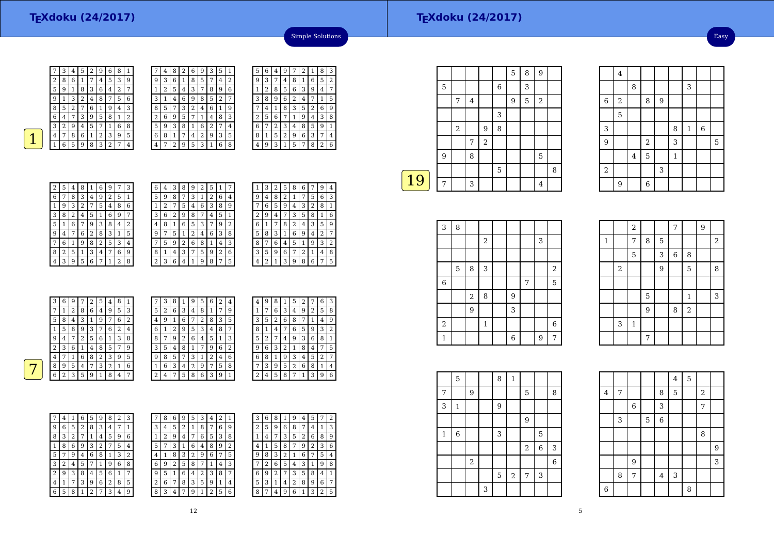$16$ 

 $\begin{array}{|c|c|c|c|c|}\n\hline\n2 & 3 & 5 \\
\hline\n\end{array}$ 

4

5

 $\frac{9}{2}$  | | | 2

4

 $\frac{2}{3}$  3 9 6

 $\frac{6}{2}$ 

3

9

2

8

<sup>8</sup> <sup>9</sup>

3 | 8 | 1

8 3

 $\begin{array}{c|c|c|c} 5 & 1 \\ \hline & 3 & \end{array}$ 

Easy



 $\sqrt{28}$ 

| 7 | 3 | 4              | 5 | 2 | 9 | 6 | 8 | 1 |   | 4      | 8 | 2 | 6 | 9 | 3              | 5              | 1 |
|---|---|----------------|---|---|---|---|---|---|---|--------|---|---|---|---|----------------|----------------|---|
| 2 | 8 | 6              | 1 | 7 | 4 | 5 | 3 | 9 | 9 | 3      | 6 | 1 | 8 | 5 | 7              | 4              | 2 |
| 5 | 9 | 1              | 8 | 3 | 6 | 4 | 2 | 7 |   | n<br>∠ | 5 | 4 | 3 | 7 | 8              | 9              | 6 |
| 9 | 1 | 3              | 2 | 4 | 8 |   | 5 | 6 | 3 |        | 4 | 6 | 9 | 8 | 5              | $\overline{2}$ | 7 |
| 8 | 5 | $\overline{2}$ | 7 | 6 | 1 | 9 | 4 | 3 | 8 | 5      |   | 3 | 2 | 4 | 6              | 1              | 9 |
| 6 | 4 | 7              | 3 | 9 | 5 | 8 | 1 | 2 | 2 | 6      | 9 | 5 | 7 | 1 | 4              | 8              | 3 |
| 3 | 2 | 9              | 4 | 5 | 7 |   | 6 | 8 | 5 | 9      | 3 | 8 | 1 | 6 | $\overline{2}$ | 7              | 4 |
| 4 | 7 | 8              | 6 | 1 | 2 | 3 | 9 | 5 | 6 | 8      | 1 | 7 | 4 | 2 | 9              | 3              | 5 |
| 1 | 6 | 5              | 9 | 8 | 3 | ∍ | 7 | 4 | 4 | ⇁      | ി | 9 | 5 | 3 | 1              | 6              | 8 |
|   |   |                |   |   |   |   |   |   |   |        |   |   |   |   |                |                |   |

| l                  | 5 | 6 | 4 | 9 | 7 | 2 | 1 | 8 | З |
|--------------------|---|---|---|---|---|---|---|---|---|
| $\overline{c}$     | 9 | 3 | 7 | 4 | 8 | 1 | 6 | 5 | 2 |
| $\hat{\mathbf{c}}$ | 1 | 2 | 8 | 5 | 6 | 3 | g | 4 | 7 |
| 7                  | 3 | 8 | 9 | 6 | 2 | 4 | 7 | 1 | 5 |
| 9                  |   | 4 | 1 | 8 | 3 | 5 | 2 | 6 | 9 |
| 3                  | 2 | 5 | 6 |   | 1 | 9 | 4 | 3 | 8 |
| 1                  | 6 | 7 | 2 | 3 | 4 | 8 | 5 | 9 | 1 |
| 5                  | 8 | 1 | 5 | 2 | 9 | 6 | 3 | 7 | 4 |
| 3                  | 4 | 9 | 3 |   | 5 | 7 | 8 | 2 | 6 |
|                    |   |   |   |   |   |   |   |   |   |

Simple Solutions

| 2 | 5 | 4              | 8              | 1 | 6              | 9 | 7 | 3 |
|---|---|----------------|----------------|---|----------------|---|---|---|
| 6 | 7 | 8              | 3              | 4 | 9              | 2 | 5 | 1 |
| 1 | 9 | 3              | $\overline{2}$ | 7 | 5              | 4 | 8 | 6 |
| 3 | 8 | $\overline{2}$ | 4              | 5 | 1              | 6 | 9 | 7 |
| 5 | 1 | 6              | 7              | 9 | 3              | 8 | 4 | 2 |
| 9 | 4 | 7              | 6              | 2 | 8              | 3 | 1 | 5 |
| 7 | 6 | 1              | 9              | 8 | $\overline{2}$ | 5 | 3 | 4 |
| 8 | 2 | 5              | 1              | 3 | 4              | 7 | 6 | 9 |
| 4 | 3 | 9              | 5              | 6 | 7              | 1 | 2 | 8 |

| 6              | 4 | 3 | 8 | 9 | 2 | 5 | 1 |   |  |
|----------------|---|---|---|---|---|---|---|---|--|
| 5              | 9 | 8 | 7 | 3 | 1 | 2 | 6 | 4 |  |
| 1              | 2 | 7 | 5 | 4 | 6 | 3 | 8 | 9 |  |
| 3              | 6 | 2 | 9 | 8 | 7 | 4 | 5 | 1 |  |
| 4              | 8 | 1 | 6 | 5 | 3 | 7 | 9 | 2 |  |
| 9              | 7 | 5 | 1 | 2 | 4 | 6 | 3 | 8 |  |
| 7              | 5 | 9 | 2 | 6 | 8 | 1 | 4 | 3 |  |
| 8              | 1 | 4 | 3 | 7 | 5 | 9 | 2 | 6 |  |
| $\overline{c}$ | 3 | 6 | 4 | 1 | 9 | 8 | 7 | 5 |  |

| 1              |   | 2 | 5 |   |   |   |   | 4                |
|----------------|---|---|---|---|---|---|---|------------------|
| 9              | 4 | 8 | 2 | 1 | 7 | 5 | 6 | 3                |
|                | 6 | 5 | 9 | 4 | 3 | 2 | 8 | 1                |
| $\overline{c}$ | 9 | 4 |   | 3 | 5 | 8 | 1 | 6                |
| 6              | 1 | 7 | 8 | 2 | 4 | 3 | 5 | 9                |
| 5              | 8 | 3 | 1 | 6 | 9 | 4 | 2 | 7                |
| 8              | 7 | 6 | 4 | 5 | 1 | 9 | 3 | $\overline{2}$   |
| 3              | 5 | 9 | 6 | 7 | 2 | 1 | 4 | 8                |
| 4              | 2 | 1 | 3 | 9 | 8 | 6 | 7 | 5                |
|                |   | З |   |   |   |   |   | 8<br>6<br>9<br>7 |

|   | 3 | 6              | 9 | 7 | 2              | 5 | 4 | 8 |                | 7                  | 3 | 8 |   | 9 | 5 | 6              | 2 | 4  | 4              | 9              | 8 |              | 5 | 2 | 7              | 6 | -3             |
|---|---|----------------|---|---|----------------|---|---|---|----------------|--------------------|---|---|---|---|---|----------------|---|----|----------------|----------------|---|--------------|---|---|----------------|---|----------------|
|   | 7 | 1              | 2 | 8 | 6              | 4 | 9 | 5 | 3              | 5                  | 2 | 6 | 3 | 4 | 8 |                | 7 | 9  |                | $\overline{ }$ | 6 | 3            | 4 | 9 | $\overline{2}$ | 5 | 8              |
|   | 5 | 8              | 4 | 3 | и              | 9 | 7 | 6 | 2              | 4                  | 9 |   | 6 | ⇁ | 2 | 8              | 3 | 5  | 3              | 5              | 2 | 6            | 8 | 7 | 1              | 4 | 9              |
|   |   | 5              | 8 | 9 | 3              | 7 | 6 | 2 | 4              | 6                  |   | 2 | 9 | 5 | 3 | $\overline{4}$ | 8 | ⇁  | 8              |                | 4 | $\mathbf{r}$ | 6 | 5 | 9              | 3 | 2              |
|   | 9 | 4              | 7 | 2 | 5              | 6 |   | 3 | 8              | 8                  | 7 | 9 |   | 6 | 4 | 5              | 1 | 3  | 5              | 2              | 7 | $4^{\circ}$  | 9 | 3 | 6              | 8 | $\perp$        |
|   | 2 | 3              | 6 |   | $\overline{4}$ | 8 | 5 | 7 | 9              | 3                  | 5 | 4 | 8 |   | 7 | 9              | 6 | 2  | 9              | 6              | 3 | ∍<br>∠       | 1 | 8 | 4              | ⇁ | -5             |
|   | 4 |                |   | 6 | 8              | 2 | 3 | 9 | 5              | 9                  | 8 | 5 |   | 3 |   | ∍              | 4 | 6  | 6              | 8              | 1 | 9            | 3 | 4 | 5              | 2 | 7              |
| - | 8 | 9              | 5 | 4 | 7              | 3 | 2 |   | 6              |                    | 6 | 3 | 4 | 2 | 9 | $\overline{ }$ | 5 | 8  | $\overline{7}$ | 3              | 9 | 5            | 2 | 6 | 8              |   | $\overline{4}$ |
|   | 6 | $\overline{2}$ | 3 | 5 | 9              |   | 8 | 4 | $\overline{ }$ | $\mathcal{L}$<br>∠ | 4 | ⇁ | 5 | 8 | 6 | 3              | 9 | 1. | $\Omega$       | 4              | 5 | 8            | 7 | 1 | 3              | 9 | -6             |
|   |   |                |   |   |                |   |   |   |                |                    |   |   |   |   |   |                |   |    |                |                |   |              |   |   |                |   |                |

|   | 4 | 1 | 6 | 5 | 9 | 8              | $\overline{2}$ | 3 |
|---|---|---|---|---|---|----------------|----------------|---|
| 9 | 6 | 5 | 2 | 8 | 3 | 4              | 7              | 1 |
| 8 | 3 | 2 | 7 | 1 | 4 | 5              | 9              | 6 |
| 1 | 8 | 6 | 9 | 3 | 2 | 7              | 5              | 4 |
| 5 | 7 | 9 | 4 | 6 | 8 | 1              | 3              | 2 |
| 3 | 2 | 4 | 5 | 7 | 1 | 9              | 6              | 8 |
| 2 | 9 | 3 | 8 | 4 | 5 | 6              | 1              | 7 |
| 4 | 1 | 7 | 3 | 9 | 6 | $\overline{2}$ | 8              | 5 |
| 6 | 5 | 8 | 1 | 2 | 7 | 3              | 4              | 9 |

| 7 | 8 | 6 | 9 | 5 | 3 | 4 | 2 |                | 3 | 6              | 8              |   | 9              | 4 | 5 | 7 | 2 |
|---|---|---|---|---|---|---|---|----------------|---|----------------|----------------|---|----------------|---|---|---|---|
| 3 | 4 | 5 | 2 | 1 | 8 | 7 | 6 | 9              | 2 | 5              | 9              | 6 | 8              | 7 | 4 | 1 | 3 |
| 1 | 2 | 9 | 4 | 7 | 6 | 5 | 3 | 8              | 1 | 4              | 7              | 3 | 5              | 2 | 6 | 8 | 9 |
| 5 | 7 | 3 |   | 6 | 4 | 8 | 9 | $\overline{2}$ | 4 | 1              | 5              | 8 | 7              | 9 | 2 | 3 | 6 |
| 4 | 1 | 8 | 3 | 2 | 9 | 6 | 7 | 5              | 9 | 8              | 3              | 2 | 1              | 6 | 7 | 5 | 4 |
| 6 | 9 | 2 | 5 | 8 | 7 |   | 4 | 3              | 7 | $\overline{2}$ | 6              | 5 | 4              | 3 | 1 | 9 | 8 |
| 9 | 5 | 1 | 6 | 4 | 2 | 3 | 8 | 7              | 6 | 9              | $\overline{2}$ | 7 | 3              | 5 | 8 | 4 | 1 |
| 2 | 6 | 7 | 8 | 3 | 5 | 9 | 1 | 4              | 5 | 3              | 1              | 4 | $\overline{2}$ | 8 | 9 | 6 | 7 |
| 8 | 3 | 4 | 7 | 9 |   | っ | 5 | 6              | 8 | 7              | 4              | 9 | 6              | 1 | 3 | 2 | 5 |
|   |   |   |   |   |   |   |   |                |   |                |                |   |                |   |   |   |   |

|    |   |            |         |                |   | 5 | 8 | 9              |   |
|----|---|------------|---------|----------------|---|---|---|----------------|---|
|    | 5 |            |         |                | 6 |   | 3 |                |   |
|    |   | 7          | $\bf 4$ |                |   | 9 | 5 | $\overline{2}$ |   |
|    |   |            |         |                | 3 |   |   |                |   |
|    |   | $\sqrt{2}$ |         | 9              | 8 |   |   |                |   |
|    |   |            | 7       | $\overline{a}$ |   |   |   |                |   |
|    | 9 |            | 8       |                |   |   |   | 5              |   |
|    |   |            |         |                | 5 |   |   |                | 8 |
| 19 | 7 |            | 3       |                |   |   |   | 4              |   |
|    |   |            |         |                |   |   |   |                |   |

| 3           | 8 |       |                  |   |   |   |                |
|-------------|---|-------|------------------|---|---|---|----------------|
|             |   |       | $\boldsymbol{2}$ |   |   | 3 |                |
|             |   |       |                  |   |   |   |                |
|             | 5 | 8     | 3                |   |   |   | $\,2$          |
| $\,$ 6 $\,$ |   |       |                  |   | 7 |   | 5              |
|             |   | $\,2$ | 8                | 9 |   |   |                |
|             |   | 9     |                  | 3 |   |   |                |
| $\,2$       |   |       | $\mathbf{1}$     |   |   |   | $\overline{6}$ |
| 1           |   |       |                  | 6 |   | 9 | 7              |

|              |       | $\overline{a}$ |                |   | 7           |                | 9 |                |
|--------------|-------|----------------|----------------|---|-------------|----------------|---|----------------|
| $\mathbf{1}$ |       | 7              | 8              | 5 |             |                |   | $\overline{2}$ |
|              |       | 5              |                | 3 | $\,$ 6 $\,$ | 8              |   |                |
|              | $\,2$ |                |                | 9 |             | 5              |   | 8              |
|              |       |                |                |   |             |                |   |                |
|              |       |                | 5              |   |             | $\mathbf{1}$   |   | 3              |
|              |       |                | $\overline{9}$ |   | 8           | $\overline{a}$ |   |                |
|              | 3     | $\mathbf 1$    |                |   |             |                |   |                |
|              |       |                | 7              |   |             |                |   |                |

|              | 5            |                  |   | 8           | $\mathbf{1}$ |                |             |                |
|--------------|--------------|------------------|---|-------------|--------------|----------------|-------------|----------------|
| 7            |              | 9                |   |             |              | 5              |             | 8              |
| 3            | $\mathbf{1}$ |                  |   | 9           |              |                |             |                |
|              |              |                  |   |             |              | 9              |             |                |
| $\mathbf{1}$ | 6            |                  |   | 3           |              |                | 5           |                |
|              |              |                  |   |             |              | $\,2$          | $\,$ 6 $\,$ | 3              |
|              |              | $\boldsymbol{2}$ |   |             |              |                |             | $\overline{6}$ |
|              |              |                  |   | $\mathbf 5$ | $\sqrt{2}$   | $\overline{7}$ | 3           |                |
|              |              |                  | 3 |             |              |                |             |                |

|         |   |                |   |             | $\overline{4}$ | 5 |                  |   |
|---------|---|----------------|---|-------------|----------------|---|------------------|---|
| $\bf 4$ | 7 |                |   | 8           | 5              |   | $\boldsymbol{2}$ |   |
|         |   | $\,$ 6 $\,$    |   | 3           |                |   | 7                |   |
|         | 3 |                | 5 | $\,$ 6 $\,$ |                |   |                  |   |
|         |   |                |   |             |                |   | 8                |   |
|         |   |                |   |             |                |   |                  | 9 |
|         |   | $\overline{9}$ |   |             |                |   |                  | 3 |
|         | 8 | 7              |   | $\bf 4$     | 3              |   |                  |   |
| $\,6\,$ |   |                |   |             |                | 8 |                  |   |

5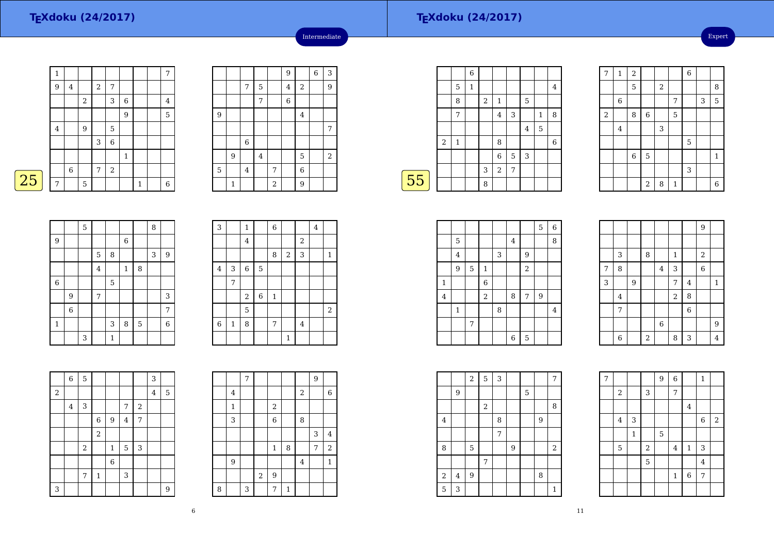|   | $\mathbf 1$ |         |                  |            |             |             |              | $\overline{7}$ |
|---|-------------|---------|------------------|------------|-------------|-------------|--------------|----------------|
|   | 9           | $\bf 4$ |                  | $\sqrt{2}$ | 7           |             |              |                |
|   |             |         | $\,2$            |            | 3           | $\,$ 6 $\,$ |              | $\overline{4}$ |
|   |             |         |                  |            |             | 9           |              | 5              |
|   | $\bf 4$     |         | $\boldsymbol{9}$ |            | 5           |             |              |                |
|   |             |         |                  | 3          | $\,$ 6 $\,$ |             |              |                |
|   |             |         |                  |            |             | $\mathbf 1$ |              |                |
|   |             | 6       |                  | 7          | $\,2$       |             |              |                |
| 5 | 7           |         | $\mathbf 5$      |            |             |             | $\mathbf{1}$ | 6              |
|   |             |         |                  |            |             |             |              |                |

|                |              |                         |         |       | 9              |                | $\overline{6}$ | 3     |
|----------------|--------------|-------------------------|---------|-------|----------------|----------------|----------------|-------|
|                |              | 7                       | 5       |       | $\overline{4}$ | $\sqrt{2}$     |                | 9     |
|                |              |                         | 7       |       | $\overline{6}$ |                |                |       |
| $\overline{9}$ |              |                         |         |       |                | $\bf 4$        |                |       |
|                |              |                         |         |       |                |                |                | 7     |
|                |              | $\overline{6}$          |         |       |                |                |                |       |
|                | 9            |                         | $\bf 4$ |       |                | 5              |                | $\,2$ |
| $\overline{5}$ |              | $\overline{\mathbf{4}}$ |         | 7     |                | $\overline{6}$ |                |       |
|                | $\mathbf{1}$ |                         |         | $\,2$ |                | 9              |                |       |

Intermediate

|    |                |   | 6 |                |              |   |   |   |   |
|----|----------------|---|---|----------------|--------------|---|---|---|---|
|    |                | 5 | 1 |                |              |   |   |   | 4 |
|    |                | 8 |   | $\overline{2}$ | $\mathbf{1}$ |   | 5 |   |   |
|    |                | 7 |   |                | 4            | 3 |   | 1 | 8 |
|    |                |   |   |                |              |   | 4 | 5 |   |
|    | $\overline{2}$ | 1 |   |                | 8            |   |   |   | 6 |
|    |                |   |   |                | $\,$ 6 $\,$  | 5 | 3 |   |   |
|    |                |   |   | 3              | 2            | 7 |   |   |   |
| 55 |                |   |   | 8              |              |   |   |   |   |
|    |                |   |   |                |              |   |   |   |   |

 $\Gamma$ 

 $\Box$ 

| 7          | $\mathbf{1}$ | $\overline{c}$ |                |            |             | $\overline{6}$ |   |                |
|------------|--------------|----------------|----------------|------------|-------------|----------------|---|----------------|
|            |              | 5              |                | $\sqrt{2}$ |             |                |   | 8              |
|            | 6            |                |                |            | 7           |                | 3 | 5              |
| $\sqrt{2}$ |              | 8              | 6              |            | 5           |                |   |                |
|            | 4            |                |                | 3          |             |                |   |                |
|            |              |                |                |            |             | 5              |   |                |
|            |              | $\,$ 6 $\,$    | 5              |            |             |                |   | $\mathbf{1}$   |
|            |              |                |                |            |             | 3              |   |                |
|            |              |                | $\overline{a}$ | 8          | $\mathbf 1$ |                |   | $\overline{6}$ |

|   |                         |   |            |         |              |                | 9              |                |
|---|-------------------------|---|------------|---------|--------------|----------------|----------------|----------------|
|   |                         |   |            |         |              |                |                |                |
|   | 3                       |   | 8          |         | $\mathbf{1}$ |                | $\,2$          |                |
| 7 | 8                       |   |            | $\bf 4$ | 3            |                | $\overline{6}$ |                |
| 3 |                         | 9 |            |         | 7            | $\overline{4}$ |                | $\,1\,$        |
|   | $\overline{\mathbf{4}}$ |   |            |         | $\,2$        | 8              |                |                |
|   | 7                       |   |            |         |              | $\overline{6}$ |                |                |
|   |                         |   |            | $\,6$   |              |                |                | $\overline{9}$ |
|   | $\overline{6}$          |   | $\sqrt{2}$ |         | 8            | 3              |                | $\overline{4}$ |

| $\overline{7}$ |             |              |            | 9 | $\overline{6}$ |                  | $\mathbf{1}$ |       |
|----------------|-------------|--------------|------------|---|----------------|------------------|--------------|-------|
|                | $\,2$       |              | 3          |   | 7              |                  |              |       |
|                |             |              |            |   |                | $\overline{4}$   |              |       |
|                | $\bf 4$     | 3            |            |   |                |                  | $\,$ 6       | $\,2$ |
|                |             | $\mathbf{1}$ |            | 5 |                |                  |              |       |
|                | $\mathbf 5$ |              | $\sqrt{2}$ |   | $\overline{4}$ | $\mathbf{1}$     | 3            |       |
|                |             |              | 5          |   |                |                  | $\bf 4$      |       |
|                |             |              |            |   | $\mathbf{1}$   | $\boldsymbol{6}$ | 7            |       |
|                |             |              |            |   |                |                  |              |       |

25

|                  |                  | 5 |         |              |              |             | 8 |                  |
|------------------|------------------|---|---------|--------------|--------------|-------------|---|------------------|
| $\boldsymbol{9}$ |                  |   |         |              | $\,$ 6 $\,$  |             |   |                  |
|                  |                  |   | 5       | 8            |              |             | 3 | $\overline{9}$   |
|                  |                  |   | $\bf 4$ |              | $\mathbf{1}$ | $\,$ 8 $\,$ |   |                  |
| 6                |                  |   |         | 5            |              |             |   |                  |
|                  | 9                |   | 7       |              |              |             |   | 3                |
|                  | $\boldsymbol{6}$ |   |         |              |              |             |   | 7                |
| $\mathbf 1$      |                  |   |         | 3            | 8            | $\mathbf 5$ |   | $\boldsymbol{6}$ |
|                  |                  | 3 |         | $\mathbf{1}$ |              |             |   |                  |

| 3              |             | $\mathbf{1}$            |   | 6           |              |            | 4 |              |
|----------------|-------------|-------------------------|---|-------------|--------------|------------|---|--------------|
|                |             | $\overline{4}$          |   |             |              | $\sqrt{2}$ |   |              |
|                |             |                         |   | 8           | $\sqrt{2}$   | 3          |   | $\mathbf{1}$ |
| 4              | 3           | $\overline{6}$          | 5 |             |              |            |   |              |
|                | 7           |                         |   |             |              |            |   |              |
|                |             | $\overline{\mathbf{c}}$ | 6 | $\mathbf 1$ |              |            |   |              |
|                |             | 5                       |   |             |              |            |   | $\,2$        |
| $\overline{6}$ | $\mathbf 1$ | 8                       |   | 7           |              | $\bf 4$    |   |              |
|                |             |                         |   |             | $\mathbf{1}$ |            |   |              |

|            | $\,6$          | 5              |                |              |                         |       | 3              |   |
|------------|----------------|----------------|----------------|--------------|-------------------------|-------|----------------|---|
| $\sqrt{2}$ |                |                |                |              |                         |       | $\overline{4}$ | 5 |
|            | $\overline{4}$ | 3              |                |              | 7                       | $\,2$ |                |   |
|            |                |                | $\,$ 6 $\,$    | $9\,$        | $\overline{\mathbf{4}}$ | 7     |                |   |
|            |                |                | $\overline{a}$ |              |                         |       |                |   |
|            |                | $\overline{2}$ |                | $\mathbf{1}$ | $\mathbf 5$             | 3     |                |   |
|            |                |                |                | $\,$ 6 $\,$  |                         |       |                |   |
|            |                | 7              | $\mathbf 1$    |              | 3                       |       |                |   |
| 3          |                |                |                |              |                         |       |                | 9 |

|        |                         | 7 |                |                  |             |                         | 9 |                  |
|--------|-------------------------|---|----------------|------------------|-------------|-------------------------|---|------------------|
|        | $\overline{\mathbf{4}}$ |   |                |                  |             | $\overline{\mathbf{c}}$ |   | $\boldsymbol{6}$ |
|        | $\mathbf{1}$            |   |                | $\boldsymbol{2}$ |             |                         |   |                  |
|        | 3                       |   |                | $\overline{6}$   |             | 8                       |   |                  |
|        |                         |   |                |                  |             |                         | 3 | $\overline{4}$   |
|        |                         |   |                | $\mathbf{1}$     | 8           |                         | 7 | $\,2$            |
|        | 9                       |   |                |                  |             | $\overline{4}$          |   | $\mathbf{1}$     |
|        |                         |   | $\overline{2}$ | $\overline{9}$   |             |                         |   |                  |
| $\, 8$ |                         | 3 |                | 7                | $\mathbf 1$ |                         |   |                  |

|                |                         |             |             |   |                         |                | 5              | 6              |  |
|----------------|-------------------------|-------------|-------------|---|-------------------------|----------------|----------------|----------------|--|
|                | 5                       |             |             |   | $\overline{\mathbf{4}}$ |                |                | 8              |  |
|                | $\overline{\mathbf{4}}$ |             |             | 3 |                         | $\overline{9}$ |                |                |  |
|                | 9                       | $\mathbf 5$ | $\mathbf 1$ |   |                         | $\sqrt{2}$     |                |                |  |
| $\mathbf{1}$   |                         |             | $\,$ 6 $\,$ |   |                         |                |                |                |  |
| $\overline{4}$ |                         |             | $\,2$       |   | 8                       | 7              | $\overline{9}$ |                |  |
|                | $\mathbf{1}$            |             |             | 8 |                         |                |                | $\overline{4}$ |  |
|                |                         | 7           |             |   |                         |                |                |                |  |
|                |                         |             |             |   | $\,$ 6 $\,$             | 5              |                |                |  |

|         |                | $\overline{2}$ | 5                | 3 |   |   |   | 7                |  |
|---------|----------------|----------------|------------------|---|---|---|---|------------------|--|
|         | 9              |                |                  |   |   | 5 |   |                  |  |
|         |                |                | $\boldsymbol{2}$ |   |   |   |   | 8                |  |
| $\,4\,$ |                |                |                  | 8 |   |   | 9 |                  |  |
|         |                |                |                  | 7 |   |   |   |                  |  |
| 8       |                | 5              |                  |   | 9 |   |   | $\boldsymbol{2}$ |  |
|         |                |                | 7                |   |   |   |   |                  |  |
| $\,2$   | $\overline{4}$ | 9              |                  |   |   |   | 8 |                  |  |
| 5       | 3              |                |                  |   |   |   |   | $\mathbf{1}$     |  |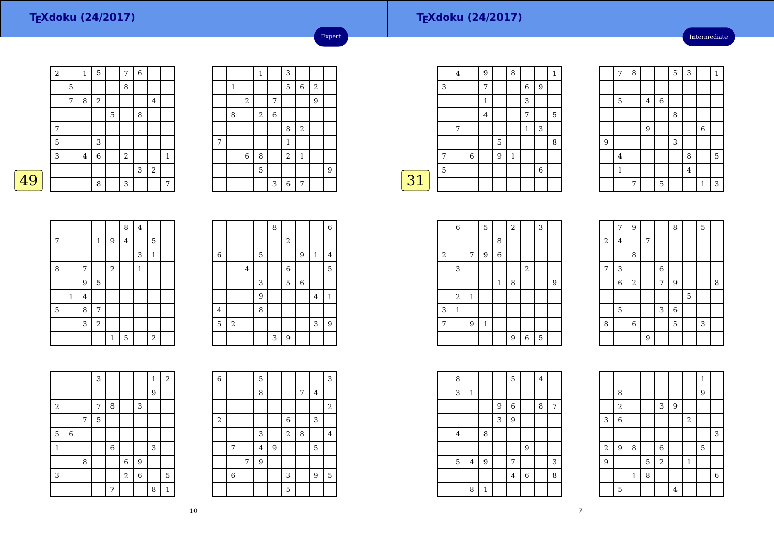# **TEXdoku (24/2017)**

Intermediate

|   | $\boldsymbol{2}$ |   | 1       | 5              |   | 7     | $\overline{6}$ |            |              |
|---|------------------|---|---------|----------------|---|-------|----------------|------------|--------------|
|   |                  | 5 |         |                |   | 8     |                |            |              |
|   |                  | 7 | 8       | 2              |   |       |                | 4          |              |
|   |                  |   |         |                | 5 |       | 8              |            |              |
|   | 7                |   |         |                |   |       |                |            |              |
|   | 5                |   |         | 3              |   |       |                |            |              |
|   | 3                |   | $\bf 4$ | $\overline{6}$ |   | $\,2$ |                |            | $\mathbf{1}$ |
|   |                  |   |         |                |   |       | 3              | $\sqrt{2}$ |              |
| 9 |                  |   |         | 8              |   | 3     |                |            | 7            |

|                |              |                | $\,1\,$ |   | 3              |             |            |   |
|----------------|--------------|----------------|---------|---|----------------|-------------|------------|---|
|                | $\mathbf{1}$ |                |         |   | 5              | $\,$ 6 $\,$ | $\sqrt{2}$ |   |
|                |              | $\,2$          |         | 7 |                |             | 9          |   |
|                | 8            |                | $\,2$   | 6 |                |             |            |   |
|                |              |                |         |   | 8              | $\sqrt{2}$  |            |   |
| $\overline{7}$ |              |                |         |   | $\mathbf 1$    |             |            |   |
|                |              | $\overline{6}$ | 8       |   | $\overline{2}$ | $\mathbf 1$ |            |   |
|                |              |                | 5       |   |                |             |            | 9 |
|                |              |                |         | 3 | $\overline{6}$ | 7           |            |   |

Expert

┑

|    |   | 4 |   | 9 |   | 8            |              |             | 1 |
|----|---|---|---|---|---|--------------|--------------|-------------|---|
|    | 3 |   |   | 7 |   |              | 6            | 9           |   |
|    |   |   |   | 1 |   |              | 3            |             |   |
|    |   |   |   | 4 |   |              | 7            |             | 5 |
|    |   | 7 |   |   |   |              | $\mathbf{1}$ | 3           |   |
|    |   |   |   |   | 5 |              |              |             | 8 |
|    | 7 |   | 6 |   | 9 | $\mathbf{1}$ |              |             |   |
|    | 5 |   |   |   |   |              |              | $\,$ 6 $\,$ |   |
| 31 |   |   |   |   |   |              |              |             |   |

|                | $\overline{7}$          | 8 |                |             | $\overline{5}$ | $\mathbf{3}$            |              | $\mathbf{1}$ |
|----------------|-------------------------|---|----------------|-------------|----------------|-------------------------|--------------|--------------|
|                |                         |   |                |             |                |                         |              |              |
|                | 5                       |   | $\overline{4}$ | $\,$ 6 $\,$ |                |                         |              |              |
|                |                         |   |                |             | 8              |                         |              |              |
|                |                         |   | 9              |             |                |                         | $\,6$        |              |
| $\overline{9}$ |                         |   |                |             | 3              |                         |              |              |
|                | $\overline{\mathbf{4}}$ |   |                |             |                | 8                       |              | 5            |
|                | $\mathbf{1}$            |   |                |             |                | $\overline{\mathbf{4}}$ |              |              |
|                |                         | 7 |                | $\mathbf 5$ |                |                         | $\mathbf{1}$ | 3            |

|   |              |                |              |              | 8           | $\bf 4$      |                  |  |
|---|--------------|----------------|--------------|--------------|-------------|--------------|------------------|--|
| 7 |              |                | $\mathbf{1}$ | 9            | $\bf 4$     |              | 5                |  |
|   |              |                |              |              |             | 3            | $\mathbf{1}$     |  |
| 8 |              | 7              |              | $\,2$        |             | $\mathbf{1}$ |                  |  |
|   |              | 9              | 5            |              |             |              |                  |  |
|   | $\mathbf{1}$ | $\overline{4}$ |              |              |             |              |                  |  |
| 5 |              | 8              | 7            |              |             |              |                  |  |
|   |              | 3              | $\sqrt{2}$   |              |             |              |                  |  |
|   |              |                |              | $\mathbf{1}$ | $\mathbf 5$ |              | $\boldsymbol{2}$ |  |

|                |       |                |   | 8 |                         |   |              | $\,6$        |
|----------------|-------|----------------|---|---|-------------------------|---|--------------|--------------|
|                |       |                |   |   | $\overline{\mathbf{c}}$ |   |              |              |
| $\,6\,$        |       |                | 5 |   |                         | 9 | $\mathbf{1}$ | 4            |
|                |       | $\overline{4}$ |   |   | $\,$ 6 $\,$             |   |              | 5            |
|                |       |                | 3 |   | 5                       | 6 |              |              |
|                |       |                | 9 |   |                         |   | 4            | $\mathbf{1}$ |
| $\overline{4}$ |       |                | 8 |   |                         |   |              |              |
| 5              | $\,2$ |                |   |   |                         |   | 3            | 9            |
|                |       |                |   | 3 | 9                       |   |              |              |

|                  |   |   | 3 |       |             |                  | $\mathbf{1}$ | $\overline{2}$ |
|------------------|---|---|---|-------|-------------|------------------|--------------|----------------|
|                  |   |   |   |       |             |                  | 9            |                |
| $\boldsymbol{2}$ |   |   | 7 | 8     |             | 3                |              |                |
|                  |   | 7 | 5 |       |             |                  |              |                |
| 5                | 6 |   |   |       |             |                  |              |                |
| $\mathbf 1$      |   |   |   | $\,6$ |             |                  | 3            |                |
|                  |   | 8 |   |       | $\,$ 6 $\,$ | $\overline{9}$   |              |                |
| 3                |   |   |   |       | $\,2$       | $\boldsymbol{6}$ |              | 5              |
|                  |   |   |   | 7     |             |                  | 8            | $\mathbf{1}$   |

| 6              |   |   | 5                |                  |                |   |   | 3                       |
|----------------|---|---|------------------|------------------|----------------|---|---|-------------------------|
|                |   |   | 8                |                  |                | 7 | 4 |                         |
|                |   |   |                  |                  |                |   |   | $\overline{\mathbf{c}}$ |
| $\overline{c}$ |   |   |                  |                  | 6              |   | 3 |                         |
|                |   |   | 3                |                  | $\overline{a}$ | 8 |   | $\overline{4}$          |
|                | 7 |   | $\bf 4$          | $\boldsymbol{9}$ |                |   | 5 |                         |
|                |   | 7 | $\boldsymbol{9}$ |                  |                |   |   |                         |
|                | 6 |   |                  |                  | 3              |   | 9 | 5                       |
|                |   |   |                  |                  | 5              |   |   |                         |

|                | $\overline{6}$ |              | 5              |                | $\sqrt{2}$ |                  | 3 |   |  |
|----------------|----------------|--------------|----------------|----------------|------------|------------------|---|---|--|
|                |                |              |                | 8              |            |                  |   |   |  |
| $\overline{a}$ |                | 7            | $\overline{9}$ | $\overline{6}$ |            |                  |   |   |  |
|                | 3              |              |                |                |            | $\,2$            |   |   |  |
|                |                |              |                | 1              | 8          |                  |   | 9 |  |
|                | 2              | $\mathbf{1}$ |                |                |            |                  |   |   |  |
| 3              | $\mathbf 1$    |              |                |                |            |                  |   |   |  |
| 7              |                | 9            | $\mathbf{1}$   |                |            |                  |   |   |  |
|                |                |              |                |                | 9          | $\boldsymbol{6}$ | 5 |   |  |

|                | $\overline{7}$ | $\overline{9}$ |   |             | 8              |   | 5 |   |
|----------------|----------------|----------------|---|-------------|----------------|---|---|---|
| $\sqrt{2}$     | $\overline{4}$ |                | 7 |             |                |   |   |   |
|                |                | 8              |   |             |                |   |   |   |
| $\overline{7}$ | 3              |                |   | $\,$ 6 $\,$ |                |   |   |   |
|                | 6              | $\,2$          |   | 7           | 9              |   |   | 8 |
|                |                |                |   |             |                | 5 |   |   |
|                | 5              |                |   | 3           | $\overline{6}$ |   |   |   |
| 8              |                | $\sqrt{6}$     |   |             | 5              |   | 3 |   |
|                |                |                | 9 |             |                |   |   |   |

|  |                |                |                |   | 5       |                |   |   |
|--|----------------|----------------|----------------|---|---------|----------------|---|---|
|  | 8              |                |                |   |         |                | 4 |   |
|  | 3              | $\mathbf{1}$   |                |   |         |                |   |   |
|  |                |                |                | 9 | $\,6$   |                | 8 | 7 |
|  |                |                |                | 3 | 9       |                |   |   |
|  | $\overline{4}$ |                | 8              |   |         |                |   |   |
|  |                |                |                |   |         | 9              |   |   |
|  | 5              | $\overline{4}$ | $\overline{9}$ |   | 7       |                |   | 3 |
|  |                |                |                |   | $\bf 4$ | $\overline{6}$ |   | 8 |
|  |                | 8              | $\mathbf{1}$   |   |         |                |   |   |

|                         |                  |             |                |            |                  |                | $\mathbf{1}$ |             |
|-------------------------|------------------|-------------|----------------|------------|------------------|----------------|--------------|-------------|
|                         | 8                |             |                |            |                  |                | 9            |             |
|                         | $\overline{a}$   |             |                | 3          | $\boldsymbol{9}$ |                |              |             |
| 3                       | 6                |             |                |            |                  | $\overline{2}$ |              |             |
|                         |                  |             |                |            |                  |                |              | 3           |
| $\overline{\mathbf{c}}$ | $\boldsymbol{9}$ | 8           |                | 6          |                  |                | $\mathbf 5$  |             |
| $\overline{9}$          |                  |             | $\overline{5}$ | $\sqrt{2}$ |                  | $\mathbf 1$    |              |             |
|                         |                  | $\mathbf 1$ | 8              |            |                  |                |              | $\,$ 6 $\,$ |
|                         | 5                |             |                |            | $\overline{4}$   |                |              |             |

7

п